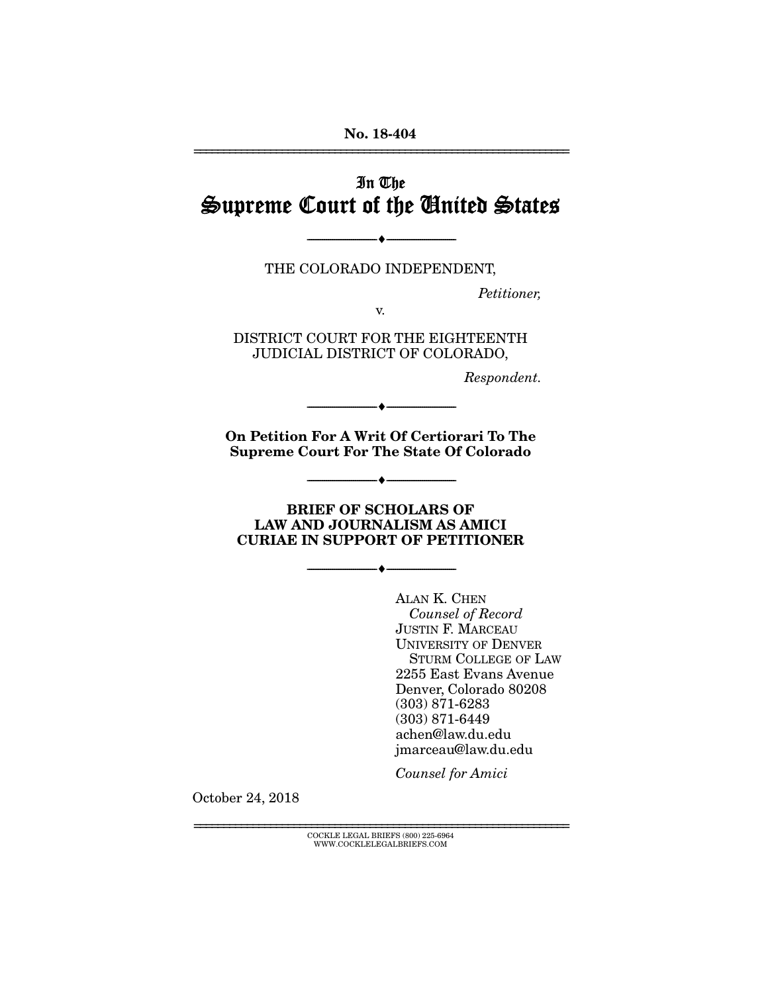No. 18-404

## In The Supreme Court of the United States

THE COLORADO INDEPENDENT,

 $\longrightarrow$   $\longleftarrow$   $\longleftarrow$ 

*Petitioner,* 

================================================================

v.

DISTRICT COURT FOR THE EIGHTEENTH JUDICIAL DISTRICT OF COLORADO,

*Respondent.* 

On Petition For A Writ Of Certiorari To The Supreme Court For The State Of Colorado

--------------------------------- ---------------------------------

--------------------------------- ---------------------------------

#### BRIEF OF SCHOLARS OF LAW AND JOURNALISM AS AMICI CURIAE IN SUPPORT OF PETITIONER

--------------------------------- ---------------------------------

ALAN K. CHEN *Counsel of Record* JUSTIN F. MARCEAU UNIVERSITY OF DENVER STURM COLLEGE OF LAW 2255 East Evans Avenue Denver, Colorado 80208 (303) 871-6283 (303) 871-6449 achen@law.du.edu jmarceau@law.du.edu

*Counsel for Amici* 

October 24, 2018

================================================================ COCKLE LEGAL BRIEFS (800) 225-6964 WWW.COCKLELEGALBRIEFS.COM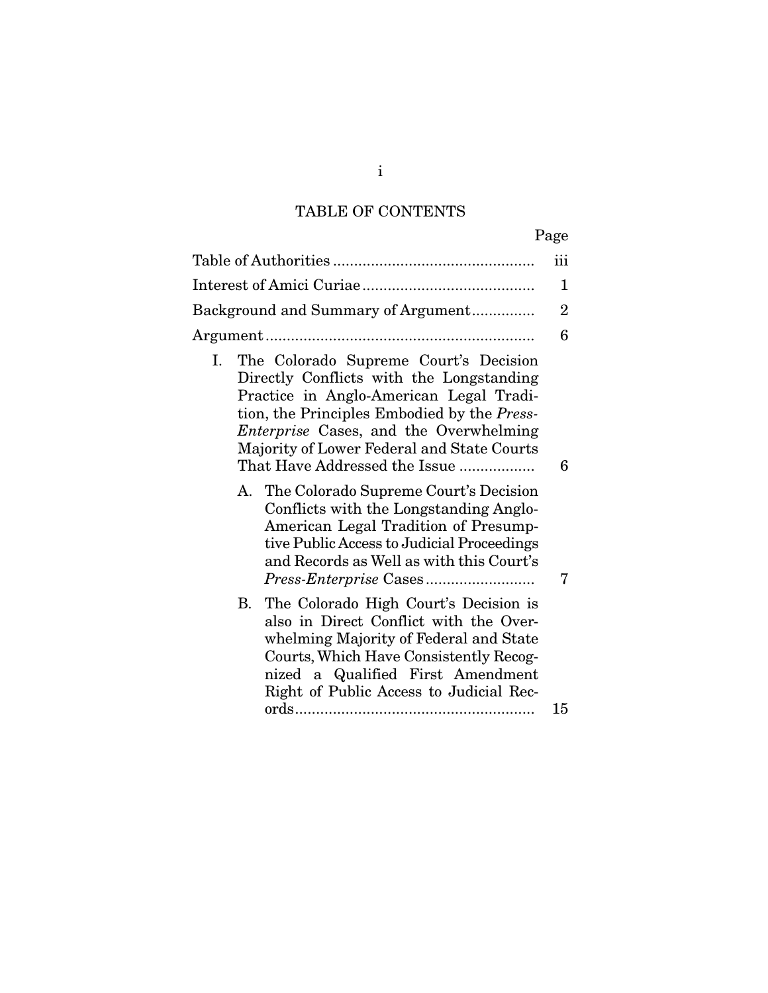# TABLE OF CONTENTS

|                                                                                                                                                                                                                                                                                                                   | iii            |
|-------------------------------------------------------------------------------------------------------------------------------------------------------------------------------------------------------------------------------------------------------------------------------------------------------------------|----------------|
|                                                                                                                                                                                                                                                                                                                   | 1              |
| Background and Summary of Argument                                                                                                                                                                                                                                                                                | $\overline{2}$ |
|                                                                                                                                                                                                                                                                                                                   | 6              |
| The Colorado Supreme Court's Decision<br>Ι.<br>Directly Conflicts with the Longstanding<br>Practice in Anglo-American Legal Tradi-<br>tion, the Principles Embodied by the Press-<br><i>Enterprise</i> Cases, and the Overwhelming<br>Majority of Lower Federal and State Courts<br>That Have Addressed the Issue | 6              |
| The Colorado Supreme Court's Decision<br>А.<br>Conflicts with the Longstanding Anglo-<br>American Legal Tradition of Presump-<br>tive Public Access to Judicial Proceedings<br>and Records as Well as with this Court's                                                                                           | 7              |
| B. The Colorado High Court's Decision is<br>also in Direct Conflict with the Over-<br>whelming Majority of Federal and State<br>Courts, Which Have Consistently Recog-<br>nized a Qualified First Amendment<br>Right of Public Access to Judicial Rec-                                                            |                |
|                                                                                                                                                                                                                                                                                                                   | 15             |

i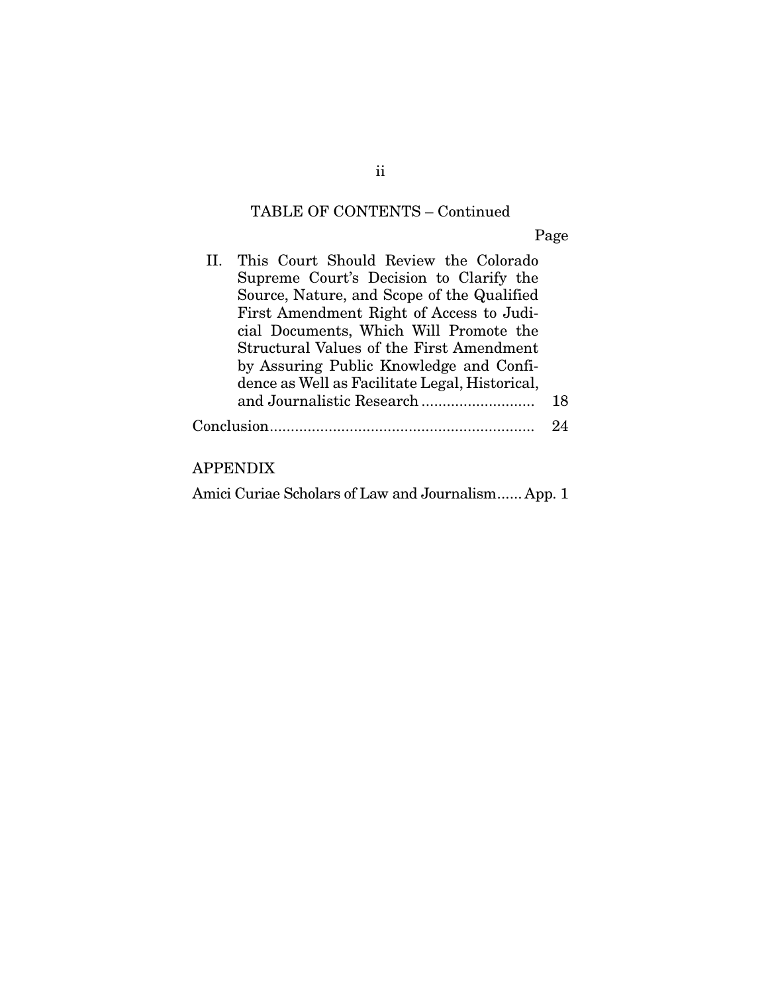# TABLE OF CONTENTS – Continued

Page

| Supreme Court's Decision to Clarify the         |                                                                 |
|-------------------------------------------------|-----------------------------------------------------------------|
| Source, Nature, and Scope of the Qualified      |                                                                 |
| First Amendment Right of Access to Judi-        |                                                                 |
| cial Documents, Which Will Promote the          |                                                                 |
| <b>Structural Values of the First Amendment</b> |                                                                 |
| by Assuring Public Knowledge and Confi-         |                                                                 |
| dence as Well as Facilitate Legal, Historical,  |                                                                 |
|                                                 | 18                                                              |
|                                                 |                                                                 |
|                                                 | II. This Court Should Review the Colorado<br>${\rm Conclusion}$ |

### APPENDIX

|  |  |  | Amici Curiae Scholars of Law and Journalism App. 1 |
|--|--|--|----------------------------------------------------|
|  |  |  |                                                    |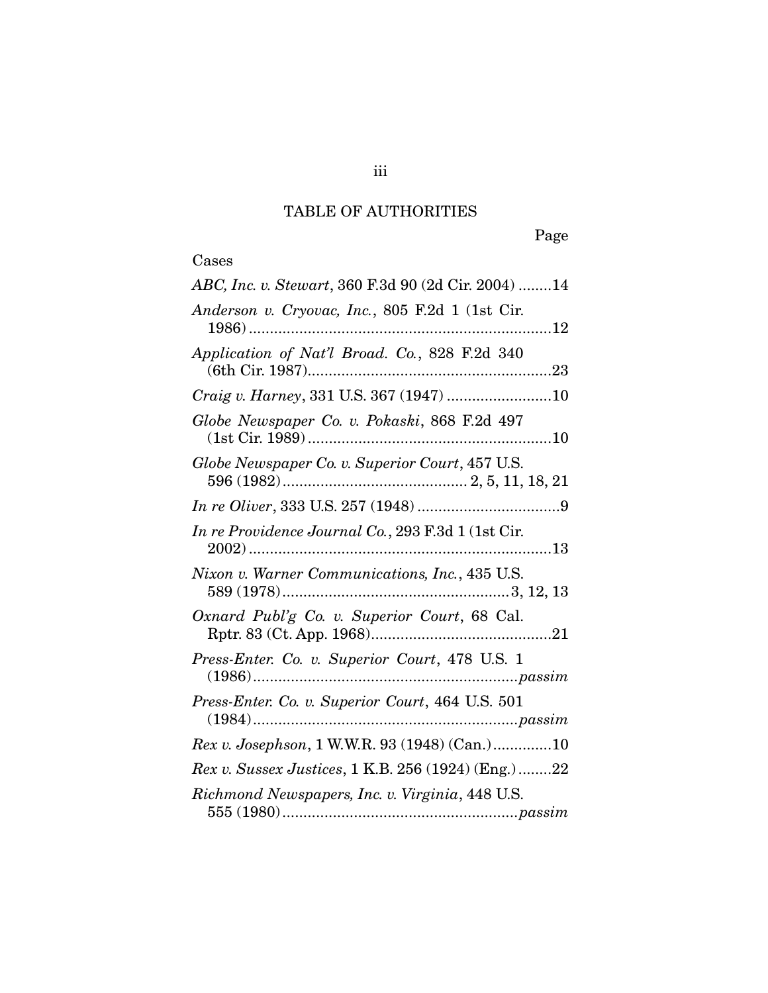## TABLE OF AUTHORITIES

# Cases

| ABC, Inc. v. Stewart, 360 F.3d 90 (2d Cir. 2004) 14                   |
|-----------------------------------------------------------------------|
| Anderson v. Cryovac, Inc., 805 F.2d 1 (1st Cir.                       |
| Application of Nat'l Broad. Co., 828 F.2d 340                         |
|                                                                       |
| Globe Newspaper Co. v. Pokaski, 868 F.2d 497                          |
| Globe Newspaper Co. v. Superior Court, 457 U.S.                       |
|                                                                       |
| In re Providence Journal Co., 293 F.3d 1 (1st Cir.                    |
| Nixon v. Warner Communications, Inc., 435 U.S.                        |
| Oxnard Publ'g Co. v. Superior Court, 68 Cal.                          |
| Press-Enter. Co. v. Superior Court, 478 U.S. 1<br>$(1986) \dots 1986$ |
| Press-Enter. Co. v. Superior Court, 464 U.S. 501<br>$(1984)$          |
| Rex v. Josephson, 1 W.W.R. 93 (1948) (Can.)10                         |
| Rex v. Sussex Justices, 1 K.B. 256 (1924) (Eng.) 22                   |
| Richmond Newspapers, Inc. v. Virginia, 448 U.S.                       |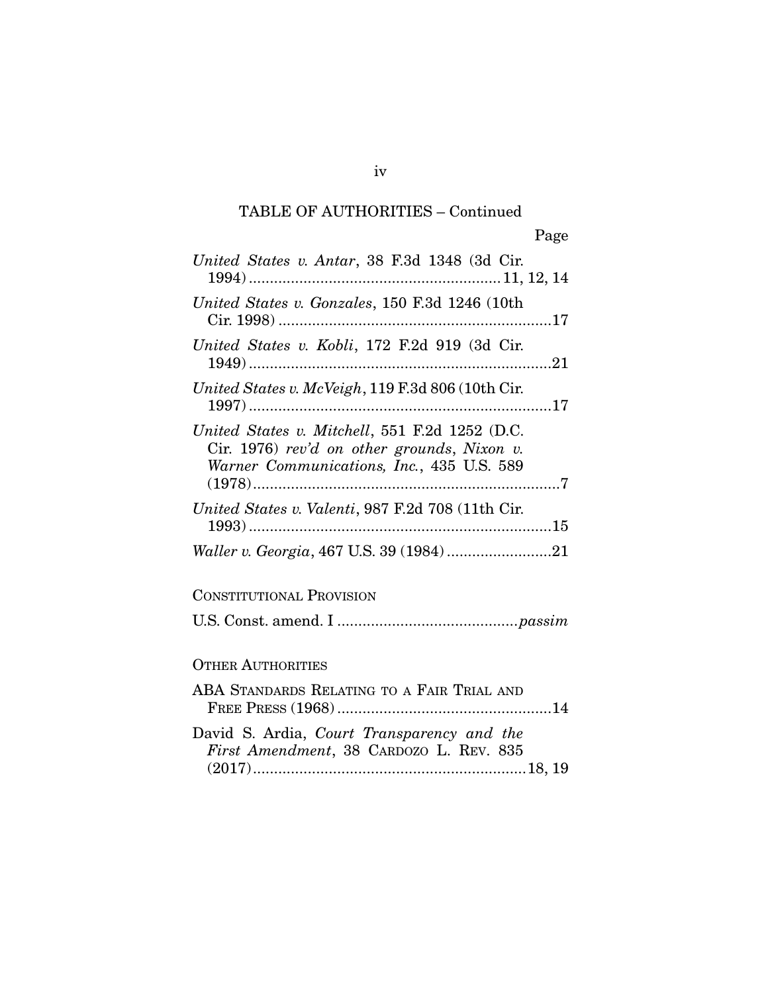| United States v. Antar, 38 F.3d 1348 (3d Cir.                                                                                              |
|--------------------------------------------------------------------------------------------------------------------------------------------|
| United States v. Gonzales, 150 F.3d 1246 (10th                                                                                             |
| United States v. Kobli, 172 F.2d 919 (3d Cir.                                                                                              |
| United States v. McVeigh, 119 F.3d 806 (10th Cir.                                                                                          |
| United States v. Mitchell, 551 F.2d 1252 (D.C.<br>Cir. 1976) rev'd on other grounds, Nixon v.<br>Warner Communications, Inc., 435 U.S. 589 |
| United States v. Valenti, 987 F.2d 708 (11th Cir.                                                                                          |
|                                                                                                                                            |
| <b>CONSTITUTIONAL PROVISION</b>                                                                                                            |
|                                                                                                                                            |
| <b>OTHER AUTHORITIES</b>                                                                                                                   |
| ABA STANDARDS RELATING TO A FAIR TRIAL AND                                                                                                 |
| David S. Ardia, Court Transparency and the<br>First Amendment, 38 CARDOZO L. REV. 835                                                      |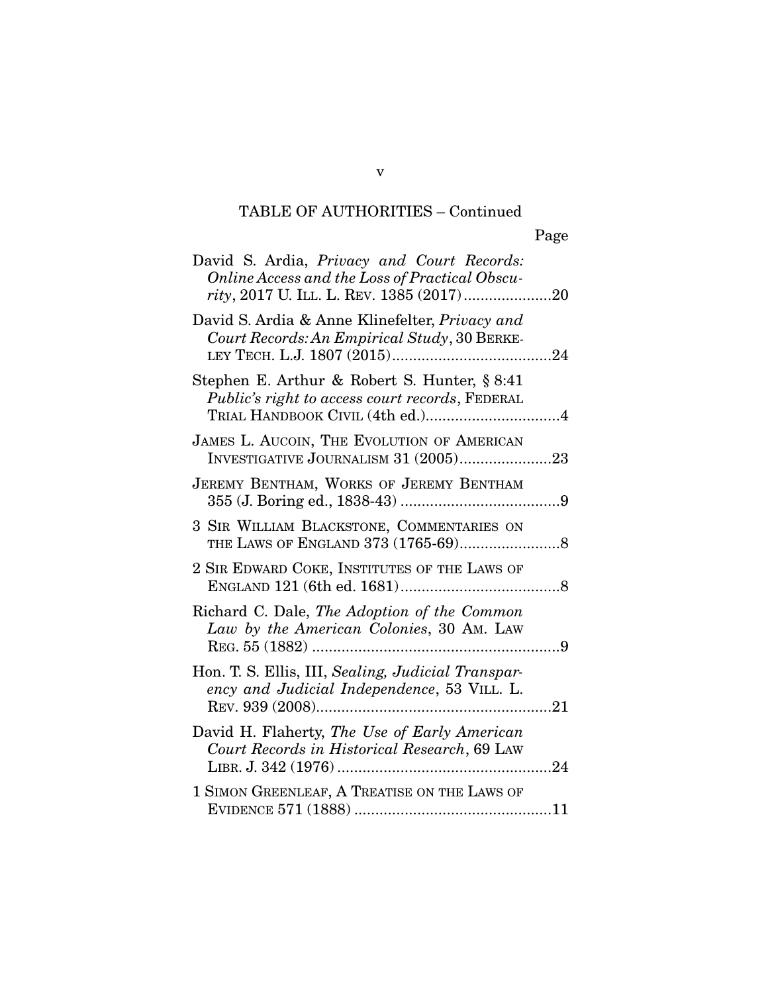| David S. Ardia, Privacy and Court Records:<br>Online Access and the Loss of Practical Obscu-                         |     |
|----------------------------------------------------------------------------------------------------------------------|-----|
| David S. Ardia & Anne Klinefelter, Privacy and<br>Court Records: An Empirical Study, 30 BERKE-                       |     |
| Stephen E. Arthur & Robert S. Hunter, § 8:41<br>Public's right to access court records, FEDERAL                      |     |
| JAMES L. AUCOIN, THE EVOLUTION OF AMERICAN<br>INVESTIGATIVE JOURNALISM 31 (2005)23                                   |     |
| JEREMY BENTHAM, WORKS OF JEREMY BENTHAM                                                                              |     |
| 3 SIR WILLIAM BLACKSTONE, COMMENTARIES ON                                                                            |     |
| 2 SIR EDWARD COKE, INSTITUTES OF THE LAWS OF                                                                         |     |
| Richard C. Dale, The Adoption of the Common<br>Law by the American Colonies, 30 AM. LAW                              |     |
| Hon. T. S. Ellis, III, Sealing, Judicial Transpar-<br>ency and Judicial Independence, 53 VILL. L.<br>REV. 939 (2008) | .21 |
| David H. Flaherty, The Use of Early American<br>Court Records in Historical Research, 69 LAW<br>LIBR. J. 342 (1976)  | 24  |
| 1 SIMON GREENLEAF, A TREATISE ON THE LAWS OF<br>EVIDENCE 571 (1888).                                                 | 11  |

v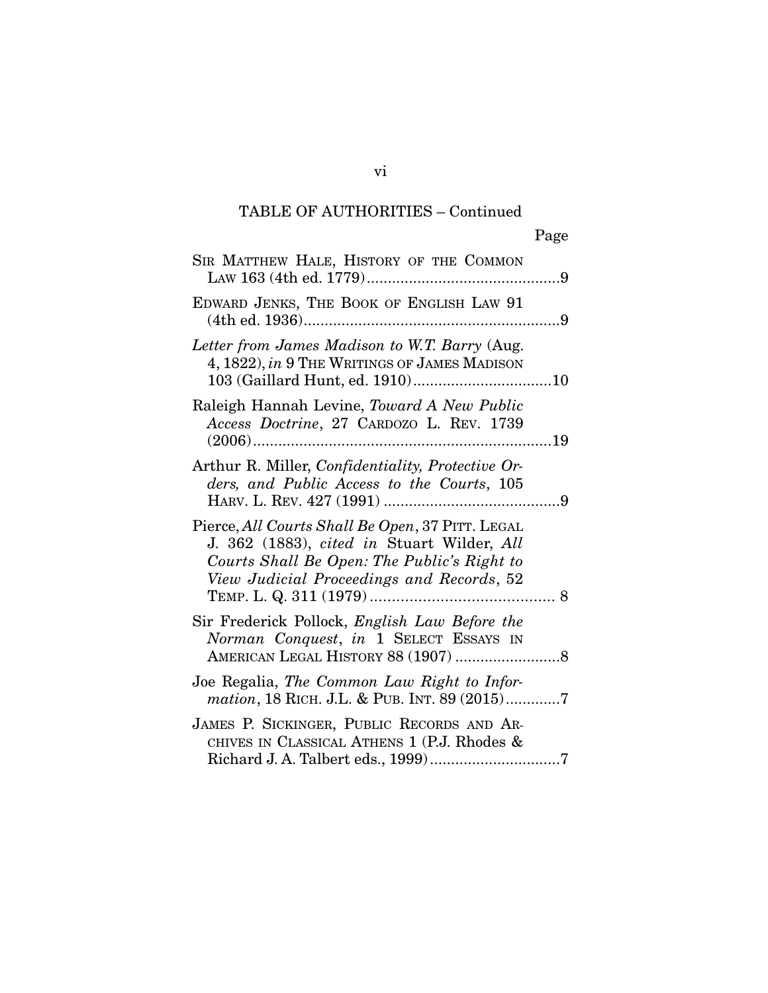| SIR MATTHEW HALE, HISTORY OF THE COMMON                                                                                                                                                    |
|--------------------------------------------------------------------------------------------------------------------------------------------------------------------------------------------|
| EDWARD JENKS, THE BOOK OF ENGLISH LAW 91                                                                                                                                                   |
| Letter from James Madison to W.T. Barry (Aug.<br>4, 1822), in 9 THE WRITINGS OF JAMES MADISON                                                                                              |
| Raleigh Hannah Levine, Toward A New Public<br>Access Doctrine, 27 CARDOZO L. REV. 1739                                                                                                     |
| Arthur R. Miller, <i>Confidentiality</i> , <i>Protective Or-</i><br>ders, and Public Access to the Courts, 105                                                                             |
| Pierce, All Courts Shall Be Open, 37 PITT. LEGAL<br>J. 362 (1883), cited in Stuart Wilder, All<br>Courts Shall Be Open: The Public's Right to<br>View Judicial Proceedings and Records, 52 |
| Sir Frederick Pollock, English Law Before the<br>Norman Conquest, in 1 SELECT ESSAYS IN                                                                                                    |
| Joe Regalia, The Common Law Right to Infor-<br>mation, 18 RICH. J.L. & PUB. INT. 89 (2015)7                                                                                                |
| JAMES P. SICKINGER, PUBLIC RECORDS AND AR-<br>CHIVES IN CLASSICAL ATHENS 1 (P.J. Rhodes &                                                                                                  |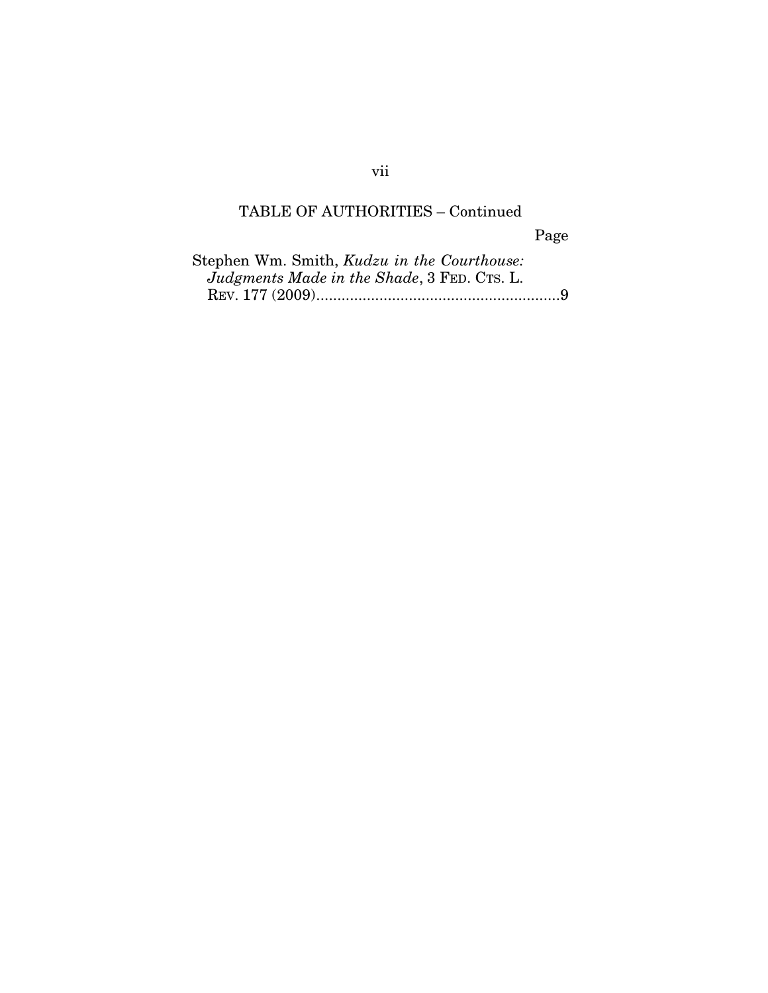Page

| Stephen Wm. Smith, Kudzu in the Courthouse: |
|---------------------------------------------|
| Judgments Made in the Shade, 3 FED. CTS. L. |
|                                             |

vii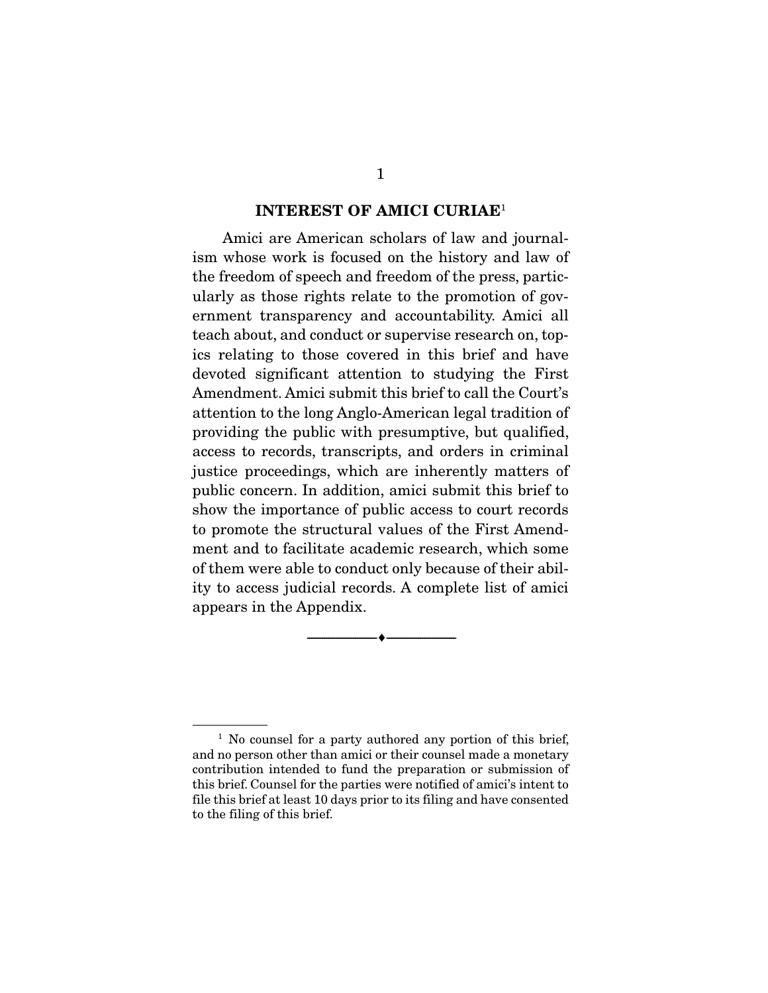#### INTEREST OF AMICI CURIAE<sup>1</sup>

 Amici are American scholars of law and journalism whose work is focused on the history and law of the freedom of speech and freedom of the press, particularly as those rights relate to the promotion of government transparency and accountability. Amici all teach about, and conduct or supervise research on, topics relating to those covered in this brief and have devoted significant attention to studying the First Amendment. Amici submit this brief to call the Court's attention to the long Anglo-American legal tradition of providing the public with presumptive, but qualified, access to records, transcripts, and orders in criminal justice proceedings, which are inherently matters of public concern. In addition, amici submit this brief to show the importance of public access to court records to promote the structural values of the First Amendment and to facilitate academic research, which some of them were able to conduct only because of their ability to access judicial records. A complete list of amici appears in the Appendix.

--------------------------------- ---------------------------------

<sup>&</sup>lt;sup>1</sup> No counsel for a party authored any portion of this brief, and no person other than amici or their counsel made a monetary contribution intended to fund the preparation or submission of this brief. Counsel for the parties were notified of amici's intent to file this brief at least 10 days prior to its filing and have consented to the filing of this brief.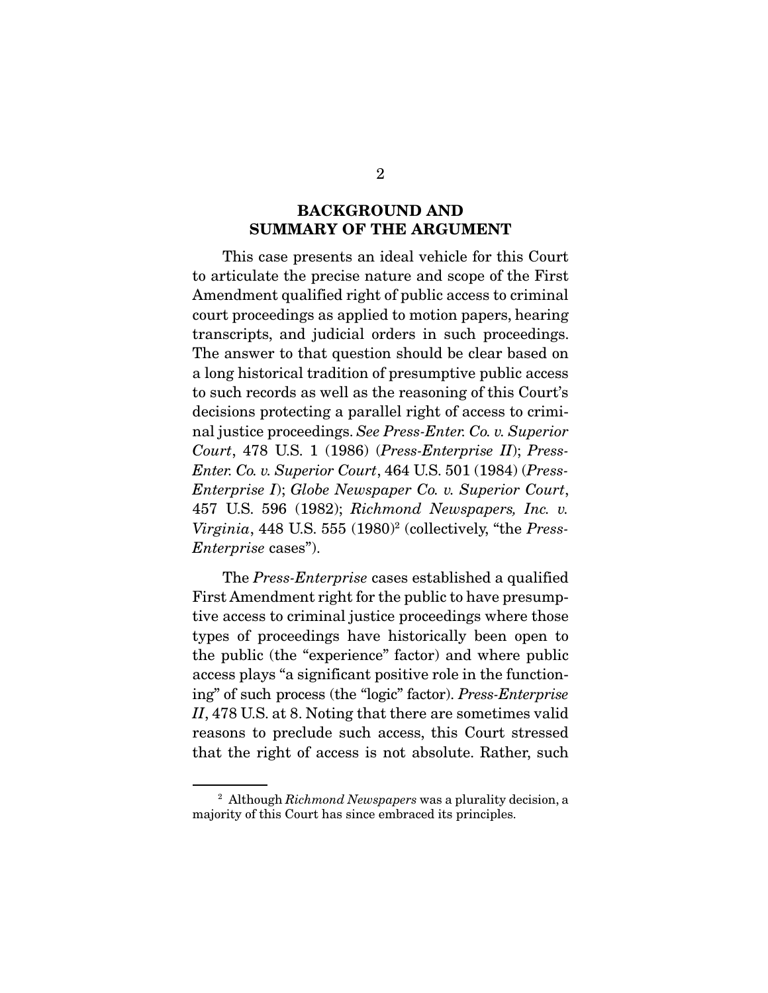#### BACKGROUND AND SUMMARY OF THE ARGUMENT

 This case presents an ideal vehicle for this Court to articulate the precise nature and scope of the First Amendment qualified right of public access to criminal court proceedings as applied to motion papers, hearing transcripts, and judicial orders in such proceedings. The answer to that question should be clear based on a long historical tradition of presumptive public access to such records as well as the reasoning of this Court's decisions protecting a parallel right of access to criminal justice proceedings. *See Press-Enter. Co. v. Superior Court*, 478 U.S. 1 (1986) (*Press-Enterprise II*); *Press-Enter. Co. v. Superior Court*, 464 U.S. 501 (1984) (*Press-Enterprise I*); *Globe Newspaper Co. v. Superior Court*, 457 U.S. 596 (1982); *Richmond Newspapers, Inc. v. Virginia*, 448 U.S. 555 (1980)<sup>2</sup> (collectively, "the *Press-Enterprise* cases").

 The *Press-Enterprise* cases established a qualified First Amendment right for the public to have presumptive access to criminal justice proceedings where those types of proceedings have historically been open to the public (the "experience" factor) and where public access plays "a significant positive role in the functioning" of such process (the "logic" factor). *Press-Enterprise II*, 478 U.S. at 8. Noting that there are sometimes valid reasons to preclude such access, this Court stressed that the right of access is not absolute. Rather, such

<sup>2</sup> Although *Richmond Newspapers* was a plurality decision, a majority of this Court has since embraced its principles.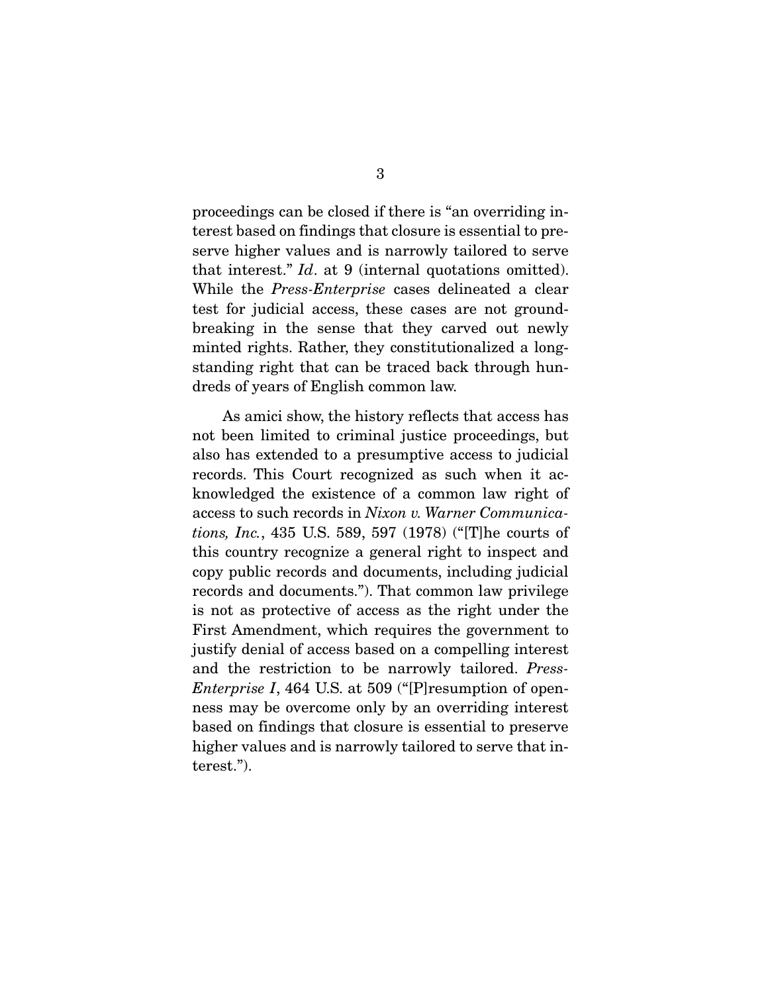proceedings can be closed if there is "an overriding interest based on findings that closure is essential to preserve higher values and is narrowly tailored to serve that interest." *Id*. at 9 (internal quotations omitted). While the *Press-Enterprise* cases delineated a clear test for judicial access, these cases are not groundbreaking in the sense that they carved out newly minted rights. Rather, they constitutionalized a longstanding right that can be traced back through hundreds of years of English common law.

 As amici show, the history reflects that access has not been limited to criminal justice proceedings, but also has extended to a presumptive access to judicial records. This Court recognized as such when it acknowledged the existence of a common law right of access to such records in *Nixon v. Warner Communications, Inc.*, 435 U.S. 589, 597 (1978) ("[T]he courts of this country recognize a general right to inspect and copy public records and documents, including judicial records and documents."). That common law privilege is not as protective of access as the right under the First Amendment, which requires the government to justify denial of access based on a compelling interest and the restriction to be narrowly tailored. *Press-Enterprise I*, 464 U.S. at 509 ("[P]resumption of openness may be overcome only by an overriding interest based on findings that closure is essential to preserve higher values and is narrowly tailored to serve that interest.").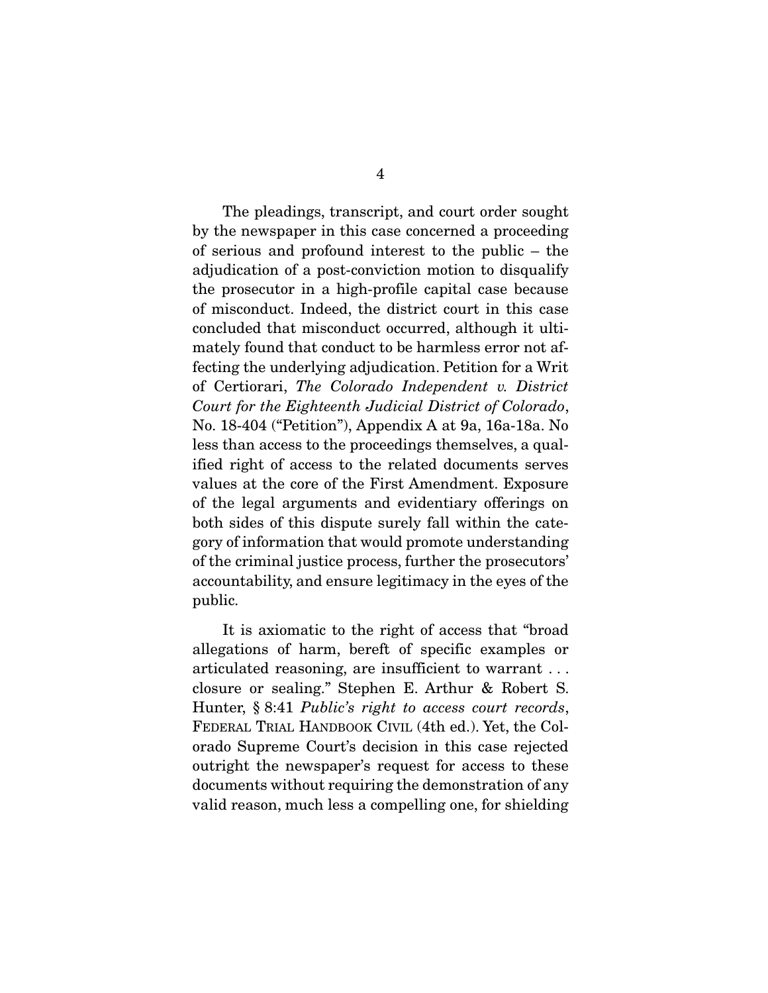The pleadings, transcript, and court order sought by the newspaper in this case concerned a proceeding of serious and profound interest to the public – the adjudication of a post-conviction motion to disqualify the prosecutor in a high-profile capital case because of misconduct. Indeed, the district court in this case concluded that misconduct occurred, although it ultimately found that conduct to be harmless error not affecting the underlying adjudication. Petition for a Writ of Certiorari, *The Colorado Independent v. District Court for the Eighteenth Judicial District of Colorado*, No. 18-404 ("Petition"), Appendix A at 9a, 16a-18a. No less than access to the proceedings themselves, a qualified right of access to the related documents serves values at the core of the First Amendment. Exposure of the legal arguments and evidentiary offerings on both sides of this dispute surely fall within the category of information that would promote understanding of the criminal justice process, further the prosecutors' accountability, and ensure legitimacy in the eyes of the public.

 It is axiomatic to the right of access that "broad allegations of harm, bereft of specific examples or articulated reasoning, are insufficient to warrant . . . closure or sealing." Stephen E. Arthur & Robert S. Hunter, § 8:41 *Public's right to access court records*, FEDERAL TRIAL HANDBOOK CIVIL (4th ed.). Yet, the Colorado Supreme Court's decision in this case rejected outright the newspaper's request for access to these documents without requiring the demonstration of any valid reason, much less a compelling one, for shielding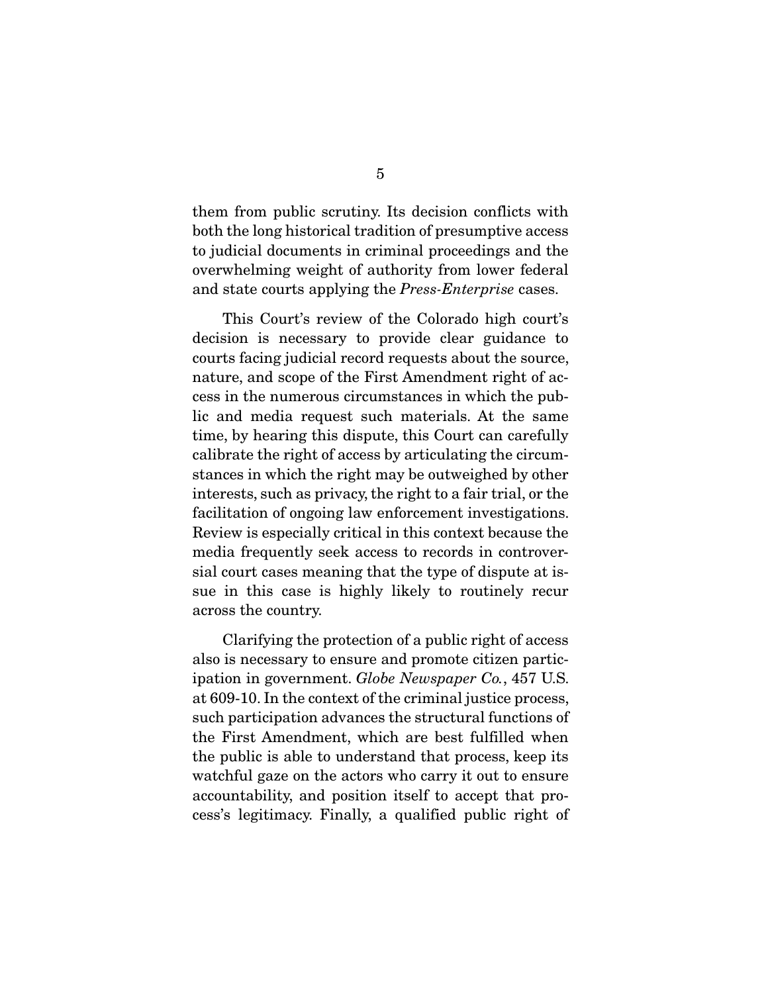them from public scrutiny. Its decision conflicts with both the long historical tradition of presumptive access to judicial documents in criminal proceedings and the overwhelming weight of authority from lower federal and state courts applying the *Press-Enterprise* cases.

 This Court's review of the Colorado high court's decision is necessary to provide clear guidance to courts facing judicial record requests about the source, nature, and scope of the First Amendment right of access in the numerous circumstances in which the public and media request such materials. At the same time, by hearing this dispute, this Court can carefully calibrate the right of access by articulating the circumstances in which the right may be outweighed by other interests, such as privacy, the right to a fair trial, or the facilitation of ongoing law enforcement investigations. Review is especially critical in this context because the media frequently seek access to records in controversial court cases meaning that the type of dispute at issue in this case is highly likely to routinely recur across the country.

 Clarifying the protection of a public right of access also is necessary to ensure and promote citizen participation in government. *Globe Newspaper Co.*, 457 U.S. at 609-10. In the context of the criminal justice process, such participation advances the structural functions of the First Amendment, which are best fulfilled when the public is able to understand that process, keep its watchful gaze on the actors who carry it out to ensure accountability, and position itself to accept that process's legitimacy. Finally, a qualified public right of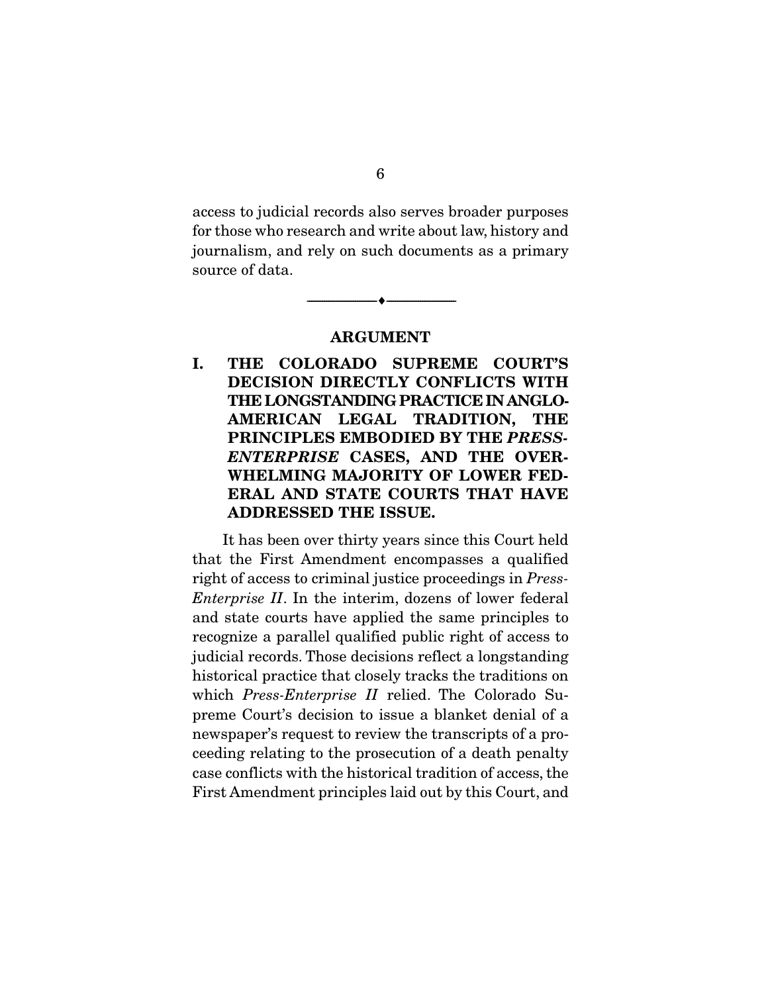access to judicial records also serves broader purposes for those who research and write about law, history and journalism, and rely on such documents as a primary source of data.

ARGUMENT

--------------------------------- ---------------------------------

I. THE COLORADO SUPREME COURT'S DECISION DIRECTLY CONFLICTS WITH THE LONGSTANDING PRACTICE IN ANGLO-AMERICAN LEGAL TRADITION, THE PRINCIPLES EMBODIED BY THE *PRESS-ENTERPRISE* CASES, AND THE OVER-WHELMING MAJORITY OF LOWER FED-ERAL AND STATE COURTS THAT HAVE ADDRESSED THE ISSUE.

 It has been over thirty years since this Court held that the First Amendment encompasses a qualified right of access to criminal justice proceedings in *Press-Enterprise II*. In the interim, dozens of lower federal and state courts have applied the same principles to recognize a parallel qualified public right of access to judicial records. Those decisions reflect a longstanding historical practice that closely tracks the traditions on which *Press-Enterprise II* relied. The Colorado Supreme Court's decision to issue a blanket denial of a newspaper's request to review the transcripts of a proceeding relating to the prosecution of a death penalty case conflicts with the historical tradition of access, the First Amendment principles laid out by this Court, and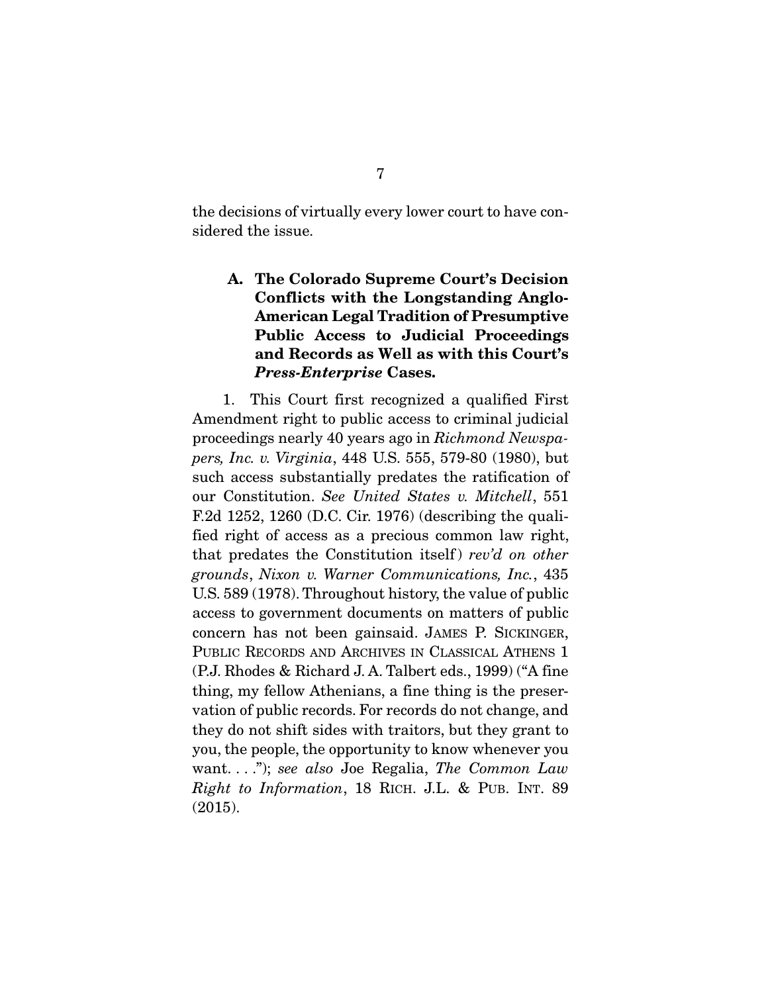the decisions of virtually every lower court to have considered the issue.

#### A. The Colorado Supreme Court's Decision Conflicts with the Longstanding Anglo-American Legal Tradition of Presumptive Public Access to Judicial Proceedings and Records as Well as with this Court's *Press-Enterprise* Cases.

 1. This Court first recognized a qualified First Amendment right to public access to criminal judicial proceedings nearly 40 years ago in *Richmond Newspapers, Inc. v. Virginia*, 448 U.S. 555, 579-80 (1980), but such access substantially predates the ratification of our Constitution. *See United States v. Mitchell*, 551 F.2d 1252, 1260 (D.C. Cir. 1976) (describing the qualified right of access as a precious common law right, that predates the Constitution itself ) *rev'd on other grounds*, *Nixon v. Warner Communications, Inc.*, 435 U.S. 589 (1978). Throughout history, the value of public access to government documents on matters of public concern has not been gainsaid. JAMES P. SICKINGER, PUBLIC RECORDS AND ARCHIVES IN CLASSICAL ATHENS 1 (P.J. Rhodes & Richard J. A. Talbert eds., 1999) ("A fine thing, my fellow Athenians, a fine thing is the preservation of public records. For records do not change, and they do not shift sides with traitors, but they grant to you, the people, the opportunity to know whenever you want. . . ."); *see also* Joe Regalia, *The Common Law Right to Information*, 18 RICH. J.L. & PUB. INT. 89 (2015).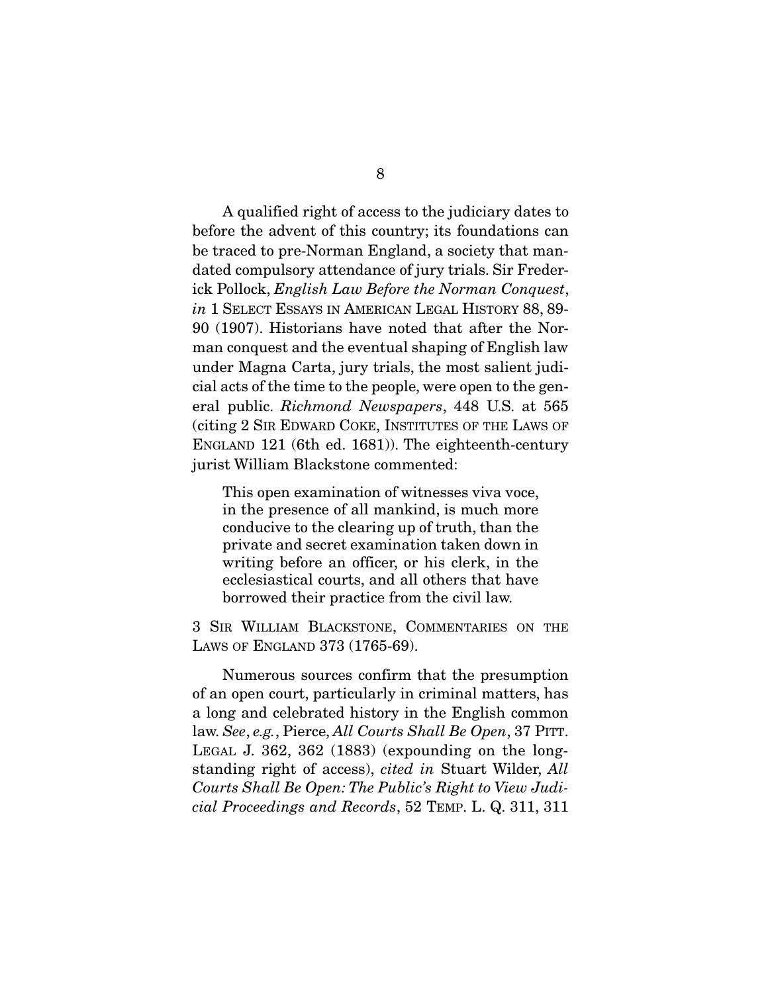A qualified right of access to the judiciary dates to before the advent of this country; its foundations can be traced to pre-Norman England, a society that mandated compulsory attendance of jury trials. Sir Frederick Pollock, *English Law Before the Norman Conquest*, *in* 1 SELECT ESSAYS IN AMERICAN LEGAL HISTORY 88, 89- 90 (1907). Historians have noted that after the Norman conquest and the eventual shaping of English law under Magna Carta, jury trials, the most salient judicial acts of the time to the people, were open to the general public. *Richmond Newspapers*, 448 U.S. at 565 (citing 2 SIR EDWARD COKE, INSTITUTES OF THE LAWS OF ENGLAND 121 (6th ed. 1681)). The eighteenth-century jurist William Blackstone commented:

This open examination of witnesses viva voce, in the presence of all mankind, is much more conducive to the clearing up of truth, than the private and secret examination taken down in writing before an officer, or his clerk, in the ecclesiastical courts, and all others that have borrowed their practice from the civil law.

3 SIR WILLIAM BLACKSTONE, COMMENTARIES ON THE LAWS OF ENGLAND 373 (1765-69).

Numerous sources confirm that the presumption of an open court, particularly in criminal matters, has a long and celebrated history in the English common law. *See*, *e.g.*, Pierce, *All Courts Shall Be Open*, 37 PITT. LEGAL J. 362, 362 (1883) (expounding on the longstanding right of access), *cited in* Stuart Wilder, *All Courts Shall Be Open: The Public's Right to View Judicial Proceedings and Records*, 52 TEMP. L. Q. 311, 311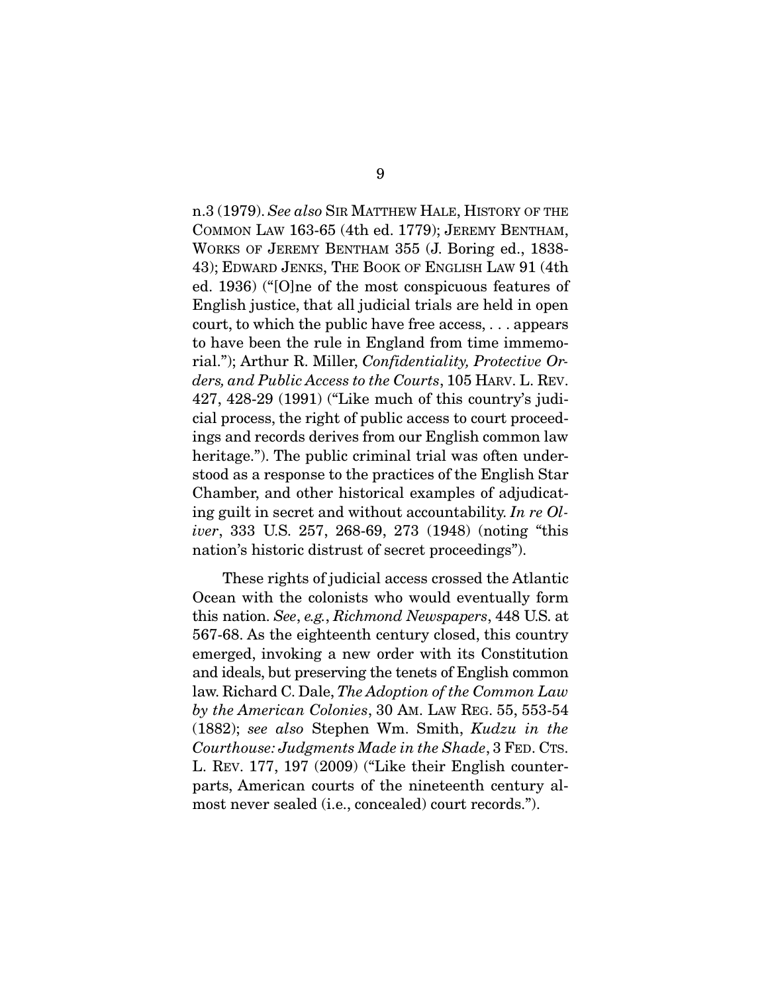n.3 (1979). *See also* SIR MATTHEW HALE, HISTORY OF THE COMMON LAW 163-65 (4th ed. 1779); JEREMY BENTHAM, WORKS OF JEREMY BENTHAM 355 (J. Boring ed., 1838- 43); EDWARD JENKS, THE BOOK OF ENGLISH LAW 91 (4th ed. 1936) ("[O]ne of the most conspicuous features of English justice, that all judicial trials are held in open court, to which the public have free access, . . . appears to have been the rule in England from time immemorial."); Arthur R. Miller, *Confidentiality, Protective Orders, and Public Access to the Courts*, 105 HARV. L. REV. 427, 428-29 (1991) ("Like much of this country's judicial process, the right of public access to court proceedings and records derives from our English common law heritage."). The public criminal trial was often understood as a response to the practices of the English Star Chamber, and other historical examples of adjudicating guilt in secret and without accountability. *In re Oliver*, 333 U.S. 257, 268-69, 273 (1948) (noting "this nation's historic distrust of secret proceedings").

 These rights of judicial access crossed the Atlantic Ocean with the colonists who would eventually form this nation. *See*, *e.g.*, *Richmond Newspapers*, 448 U.S. at 567-68. As the eighteenth century closed, this country emerged, invoking a new order with its Constitution and ideals, but preserving the tenets of English common law. Richard C. Dale, *The Adoption of the Common Law by the American Colonies*, 30 AM. LAW REG. 55, 553-54 (1882); *see also* Stephen Wm. Smith, *Kudzu in the Courthouse: Judgments Made in the Shade*, 3 FED. CTS. L. REV. 177, 197 (2009) ("Like their English counterparts, American courts of the nineteenth century almost never sealed (i.e., concealed) court records.").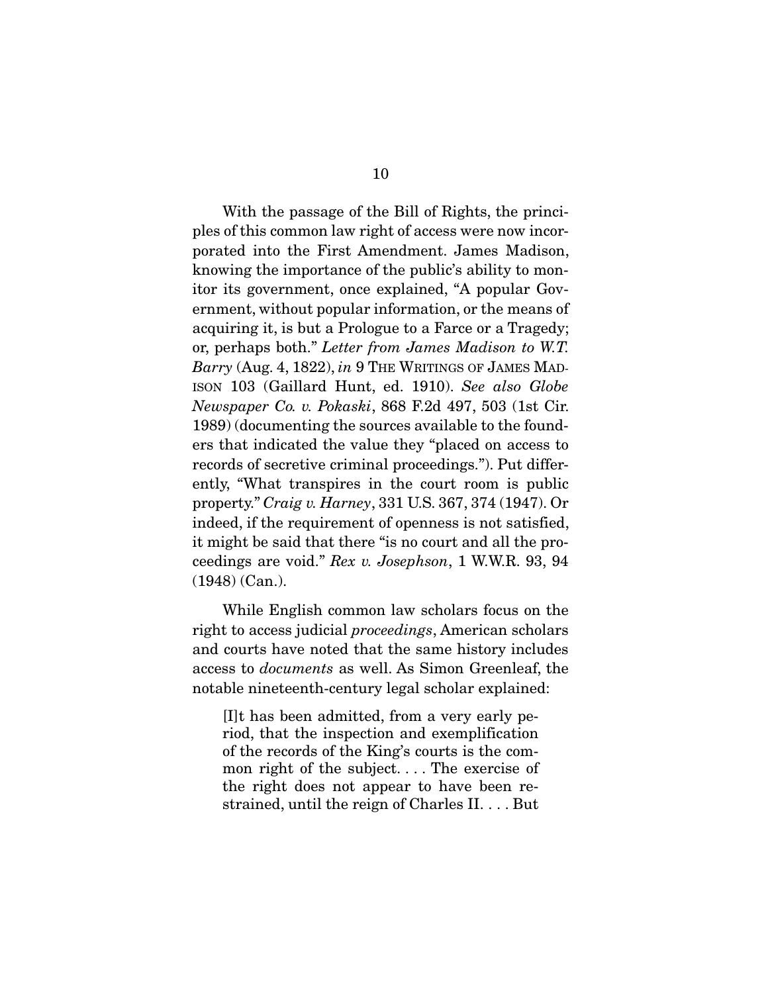With the passage of the Bill of Rights, the principles of this common law right of access were now incorporated into the First Amendment. James Madison, knowing the importance of the public's ability to monitor its government, once explained, "A popular Government, without popular information, or the means of acquiring it, is but a Prologue to a Farce or a Tragedy; or, perhaps both." *Letter from James Madison to W.T. Barry* (Aug. 4, 1822), *in* 9 THE WRITINGS OF JAMES MAD-ISON 103 (Gaillard Hunt, ed. 1910). *See also Globe Newspaper Co. v. Pokaski*, 868 F.2d 497, 503 (1st Cir. 1989) (documenting the sources available to the founders that indicated the value they "placed on access to records of secretive criminal proceedings."). Put differently, "What transpires in the court room is public property." *Craig v. Harney*, 331 U.S. 367, 374 (1947). Or indeed, if the requirement of openness is not satisfied, it might be said that there "is no court and all the proceedings are void." *Rex v. Josephson*, 1 W.W.R. 93, 94 (1948) (Can.).

 While English common law scholars focus on the right to access judicial *proceedings*, American scholars and courts have noted that the same history includes access to *documents* as well. As Simon Greenleaf, the notable nineteenth-century legal scholar explained:

[I]t has been admitted, from a very early period, that the inspection and exemplification of the records of the King's courts is the common right of the subject. . . . The exercise of the right does not appear to have been restrained, until the reign of Charles II. . . . But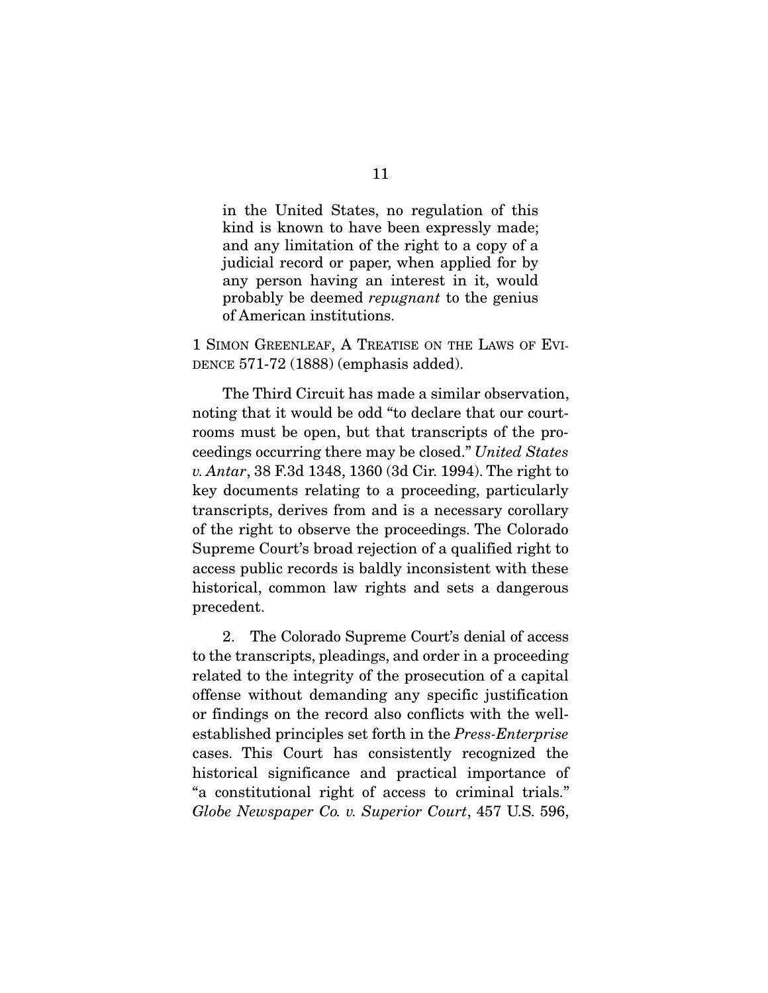in the United States, no regulation of this kind is known to have been expressly made; and any limitation of the right to a copy of a judicial record or paper, when applied for by any person having an interest in it, would probably be deemed *repugnant* to the genius of American institutions.

1 SIMON GREENLEAF, A TREATISE ON THE LAWS OF EVI-DENCE 571-72 (1888) (emphasis added).

 The Third Circuit has made a similar observation, noting that it would be odd "to declare that our courtrooms must be open, but that transcripts of the proceedings occurring there may be closed." *United States v. Antar*, 38 F.3d 1348, 1360 (3d Cir. 1994). The right to key documents relating to a proceeding, particularly transcripts, derives from and is a necessary corollary of the right to observe the proceedings. The Colorado Supreme Court's broad rejection of a qualified right to access public records is baldly inconsistent with these historical, common law rights and sets a dangerous precedent.

 2. The Colorado Supreme Court's denial of access to the transcripts, pleadings, and order in a proceeding related to the integrity of the prosecution of a capital offense without demanding any specific justification or findings on the record also conflicts with the wellestablished principles set forth in the *Press-Enterprise* cases. This Court has consistently recognized the historical significance and practical importance of "a constitutional right of access to criminal trials." *Globe Newspaper Co. v. Superior Court*, 457 U.S. 596,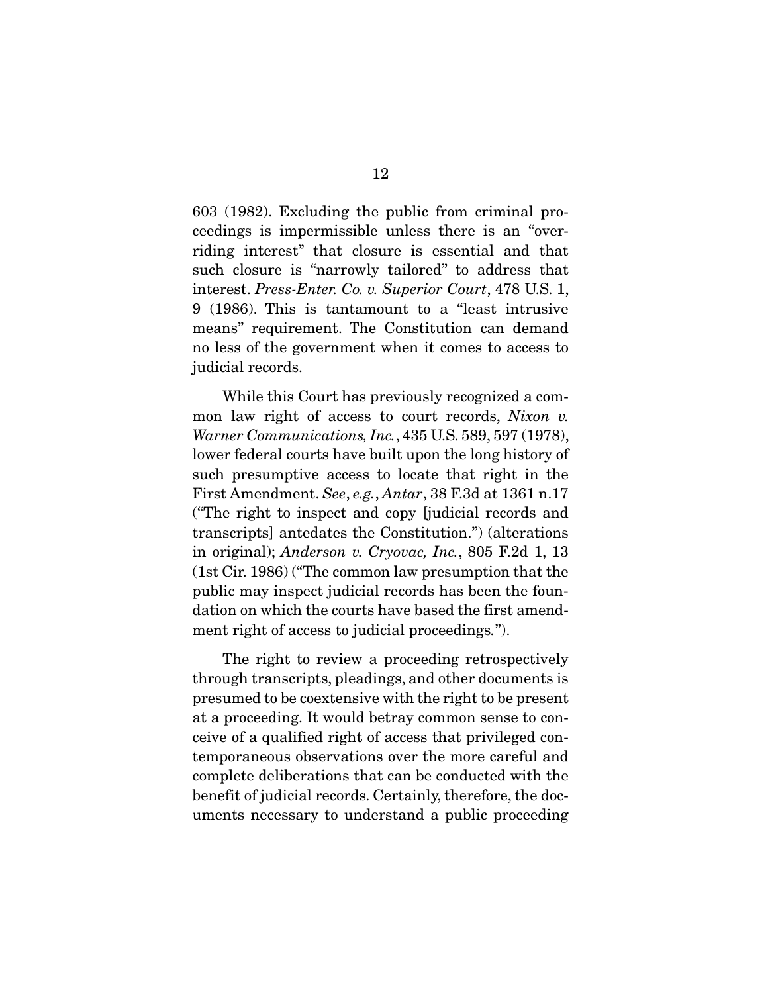603 (1982). Excluding the public from criminal proceedings is impermissible unless there is an "overriding interest" that closure is essential and that such closure is "narrowly tailored" to address that interest. *Press-Enter. Co. v. Superior Court*, 478 U.S. 1, 9 (1986). This is tantamount to a "least intrusive means" requirement. The Constitution can demand no less of the government when it comes to access to judicial records.

 While this Court has previously recognized a common law right of access to court records, *Nixon v. Warner Communications, Inc.*, 435 U.S. 589, 597 (1978), lower federal courts have built upon the long history of such presumptive access to locate that right in the First Amendment. *See*, *e.g.*, *Antar*, 38 F.3d at 1361 n.17 ("The right to inspect and copy [judicial records and transcripts] antedates the Constitution.") (alterations in original); *Anderson v. Cryovac, Inc.*, 805 F.2d 1, 13 (1st Cir. 1986) ("The common law presumption that the public may inspect judicial records has been the foundation on which the courts have based the first amendment right of access to judicial proceedings*.*").

 The right to review a proceeding retrospectively through transcripts, pleadings, and other documents is presumed to be coextensive with the right to be present at a proceeding. It would betray common sense to conceive of a qualified right of access that privileged contemporaneous observations over the more careful and complete deliberations that can be conducted with the benefit of judicial records. Certainly, therefore, the documents necessary to understand a public proceeding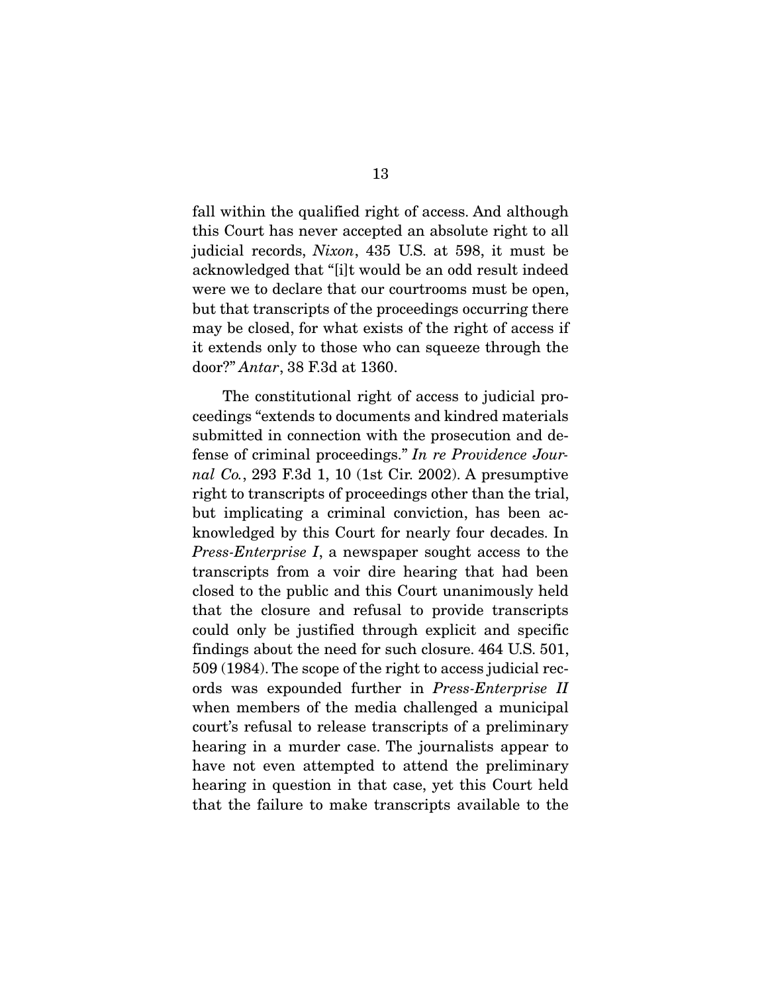fall within the qualified right of access. And although this Court has never accepted an absolute right to all judicial records, *Nixon*, 435 U.S. at 598, it must be acknowledged that "[i]t would be an odd result indeed were we to declare that our courtrooms must be open, but that transcripts of the proceedings occurring there may be closed, for what exists of the right of access if it extends only to those who can squeeze through the door?" *Antar*, 38 F.3d at 1360.

 The constitutional right of access to judicial proceedings "extends to documents and kindred materials submitted in connection with the prosecution and defense of criminal proceedings." *In re Providence Journal Co.*, 293 F.3d 1, 10 (1st Cir. 2002). A presumptive right to transcripts of proceedings other than the trial, but implicating a criminal conviction, has been acknowledged by this Court for nearly four decades. In *Press-Enterprise I*, a newspaper sought access to the transcripts from a voir dire hearing that had been closed to the public and this Court unanimously held that the closure and refusal to provide transcripts could only be justified through explicit and specific findings about the need for such closure. 464 U.S. 501, 509 (1984). The scope of the right to access judicial records was expounded further in *Press-Enterprise II* when members of the media challenged a municipal court's refusal to release transcripts of a preliminary hearing in a murder case. The journalists appear to have not even attempted to attend the preliminary hearing in question in that case, yet this Court held that the failure to make transcripts available to the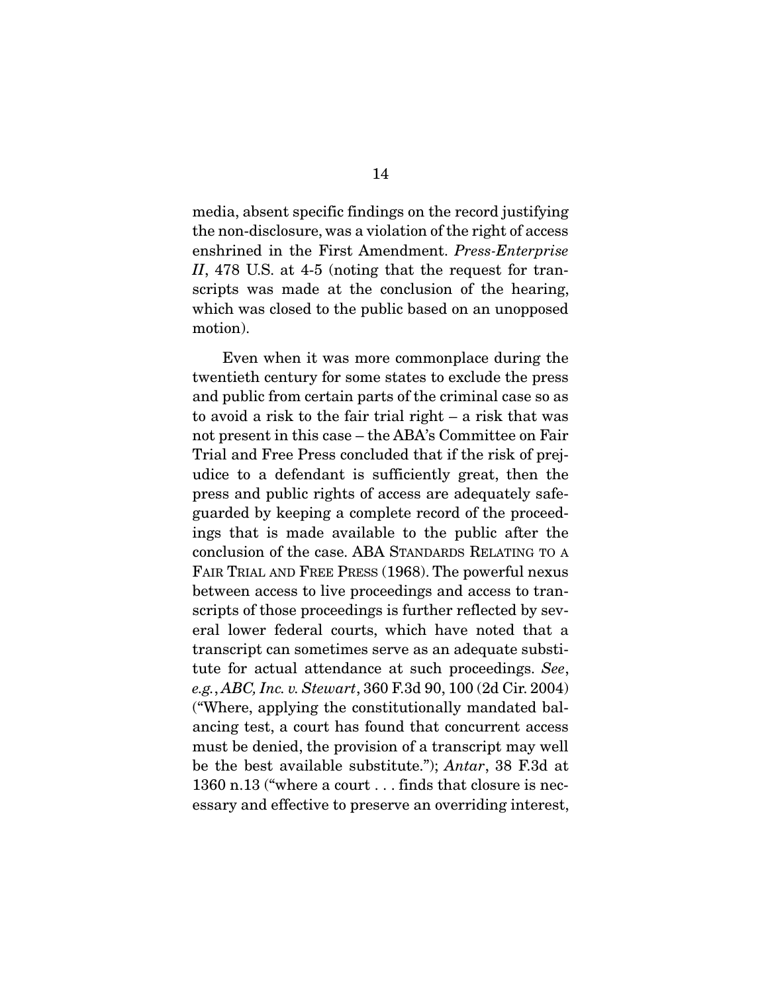media, absent specific findings on the record justifying the non-disclosure, was a violation of the right of access enshrined in the First Amendment. *Press-Enterprise II*, 478 U.S. at 4-5 (noting that the request for transcripts was made at the conclusion of the hearing, which was closed to the public based on an unopposed motion).

 Even when it was more commonplace during the twentieth century for some states to exclude the press and public from certain parts of the criminal case so as to avoid a risk to the fair trial right – a risk that was not present in this case – the ABA's Committee on Fair Trial and Free Press concluded that if the risk of prejudice to a defendant is sufficiently great, then the press and public rights of access are adequately safeguarded by keeping a complete record of the proceedings that is made available to the public after the conclusion of the case. ABA STANDARDS RELATING TO A FAIR TRIAL AND FREE PRESS (1968). The powerful nexus between access to live proceedings and access to transcripts of those proceedings is further reflected by several lower federal courts, which have noted that a transcript can sometimes serve as an adequate substitute for actual attendance at such proceedings. *See*, *e.g.*, *ABC, Inc. v. Stewart*, 360 F.3d 90, 100 (2d Cir. 2004) ("Where, applying the constitutionally mandated balancing test, a court has found that concurrent access must be denied, the provision of a transcript may well be the best available substitute."); *Antar*, 38 F.3d at 1360 n.13 ("where a court . . . finds that closure is necessary and effective to preserve an overriding interest,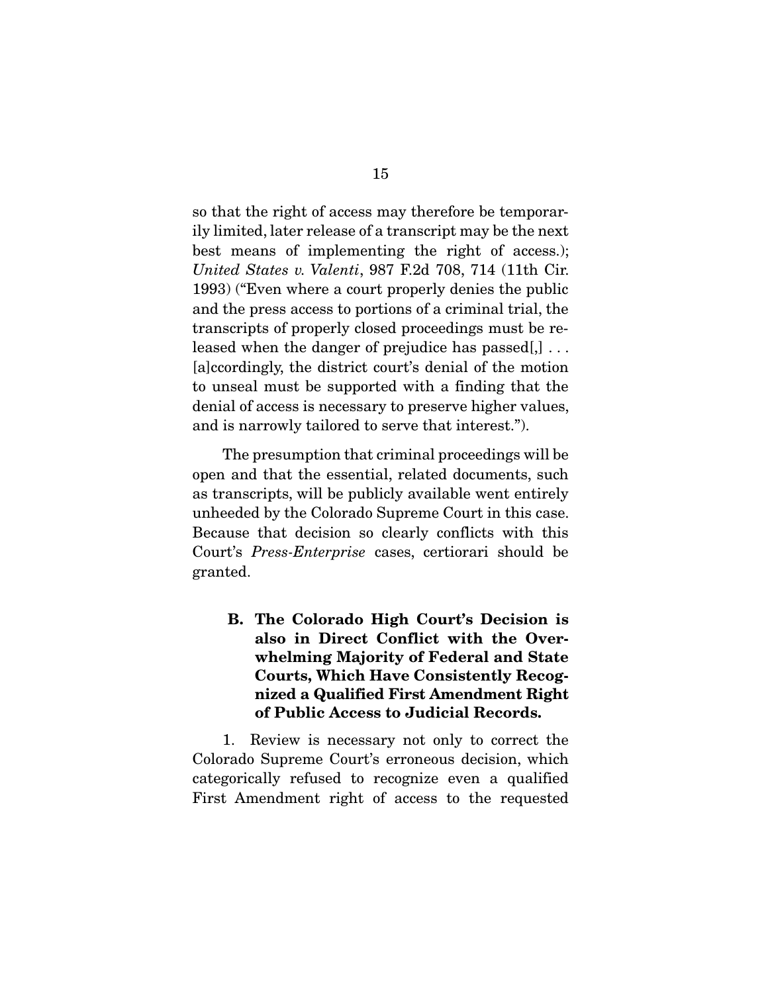so that the right of access may therefore be temporarily limited, later release of a transcript may be the next best means of implementing the right of access.); *United States v. Valenti*, 987 F.2d 708, 714 (11th Cir. 1993) ("Even where a court properly denies the public and the press access to portions of a criminal trial, the transcripts of properly closed proceedings must be released when the danger of prejudice has passed[,] . . . [a]ccordingly, the district court's denial of the motion to unseal must be supported with a finding that the denial of access is necessary to preserve higher values, and is narrowly tailored to serve that interest.").

 The presumption that criminal proceedings will be open and that the essential, related documents, such as transcripts, will be publicly available went entirely unheeded by the Colorado Supreme Court in this case. Because that decision so clearly conflicts with this Court's *Press-Enterprise* cases, certiorari should be granted.

B. The Colorado High Court's Decision is also in Direct Conflict with the Overwhelming Majority of Federal and State Courts, Which Have Consistently Recognized a Qualified First Amendment Right of Public Access to Judicial Records.

 1. Review is necessary not only to correct the Colorado Supreme Court's erroneous decision, which categorically refused to recognize even a qualified First Amendment right of access to the requested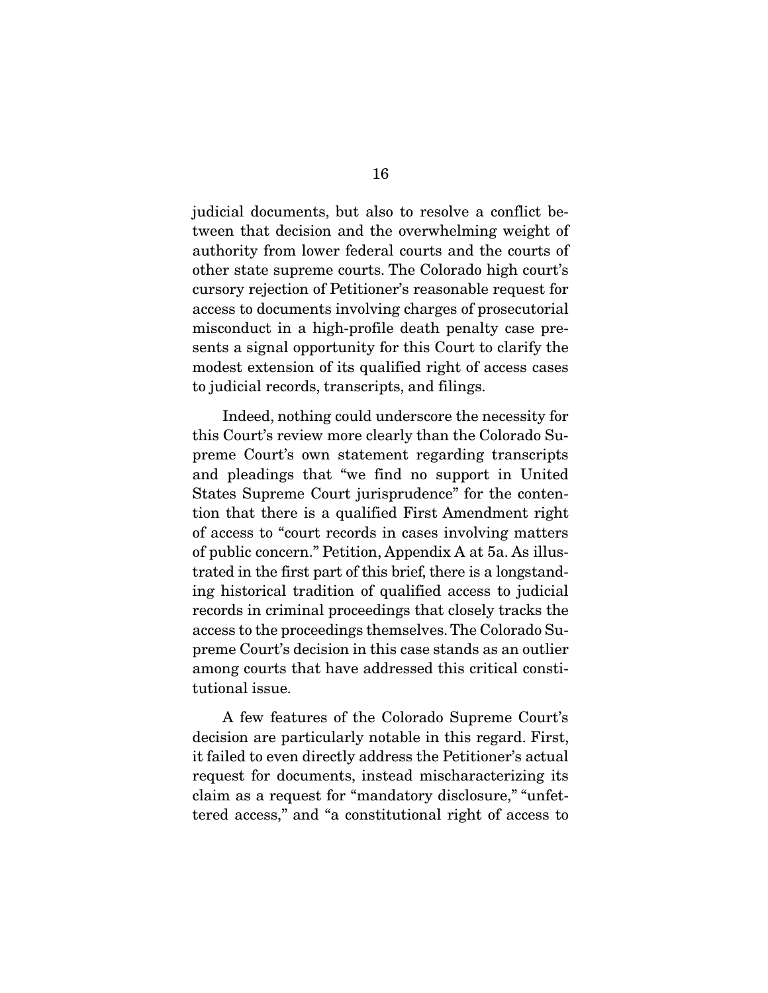judicial documents, but also to resolve a conflict between that decision and the overwhelming weight of authority from lower federal courts and the courts of other state supreme courts. The Colorado high court's cursory rejection of Petitioner's reasonable request for access to documents involving charges of prosecutorial misconduct in a high-profile death penalty case presents a signal opportunity for this Court to clarify the modest extension of its qualified right of access cases to judicial records, transcripts, and filings.

 Indeed, nothing could underscore the necessity for this Court's review more clearly than the Colorado Supreme Court's own statement regarding transcripts and pleadings that "we find no support in United States Supreme Court jurisprudence" for the contention that there is a qualified First Amendment right of access to "court records in cases involving matters of public concern." Petition, Appendix A at 5a. As illustrated in the first part of this brief, there is a longstanding historical tradition of qualified access to judicial records in criminal proceedings that closely tracks the access to the proceedings themselves. The Colorado Supreme Court's decision in this case stands as an outlier among courts that have addressed this critical constitutional issue.

 A few features of the Colorado Supreme Court's decision are particularly notable in this regard. First, it failed to even directly address the Petitioner's actual request for documents, instead mischaracterizing its claim as a request for "mandatory disclosure," "unfettered access," and "a constitutional right of access to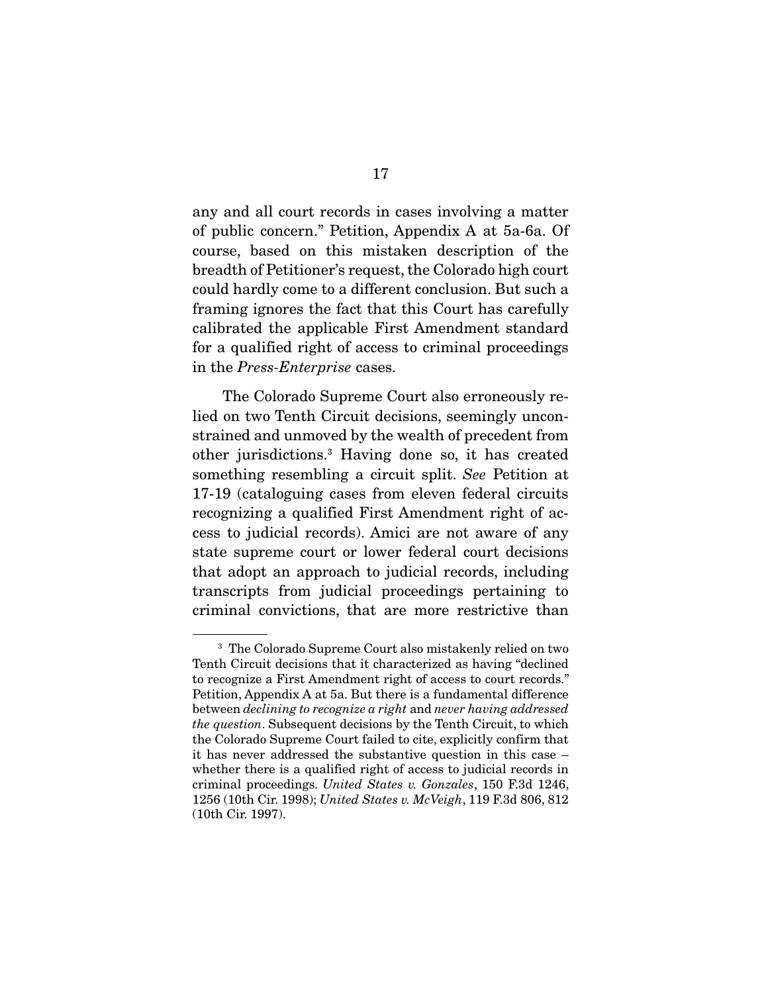any and all court records in cases involving a matter of public concern." Petition, Appendix A at 5a-6a. Of course, based on this mistaken description of the breadth of Petitioner's request, the Colorado high court could hardly come to a different conclusion. But such a framing ignores the fact that this Court has carefully calibrated the applicable First Amendment standard for a qualified right of access to criminal proceedings in the *Press-Enterprise* cases.

 The Colorado Supreme Court also erroneously relied on two Tenth Circuit decisions, seemingly unconstrained and unmoved by the wealth of precedent from other jurisdictions.3 Having done so, it has created something resembling a circuit split. *See* Petition at 17-19 (cataloguing cases from eleven federal circuits recognizing a qualified First Amendment right of access to judicial records). Amici are not aware of any state supreme court or lower federal court decisions that adopt an approach to judicial records, including transcripts from judicial proceedings pertaining to criminal convictions, that are more restrictive than

<sup>3</sup> The Colorado Supreme Court also mistakenly relied on two Tenth Circuit decisions that it characterized as having "declined to recognize a First Amendment right of access to court records." Petition, Appendix A at 5a. But there is a fundamental difference between *declining to recognize a right* and *never having addressed the question*. Subsequent decisions by the Tenth Circuit, to which the Colorado Supreme Court failed to cite, explicitly confirm that it has never addressed the substantive question in this case – whether there is a qualified right of access to judicial records in criminal proceedings. *United States v. Gonzales*, 150 F.3d 1246, 1256 (10th Cir. 1998); *United States v. McVeigh*, 119 F.3d 806, 812 (10th Cir. 1997).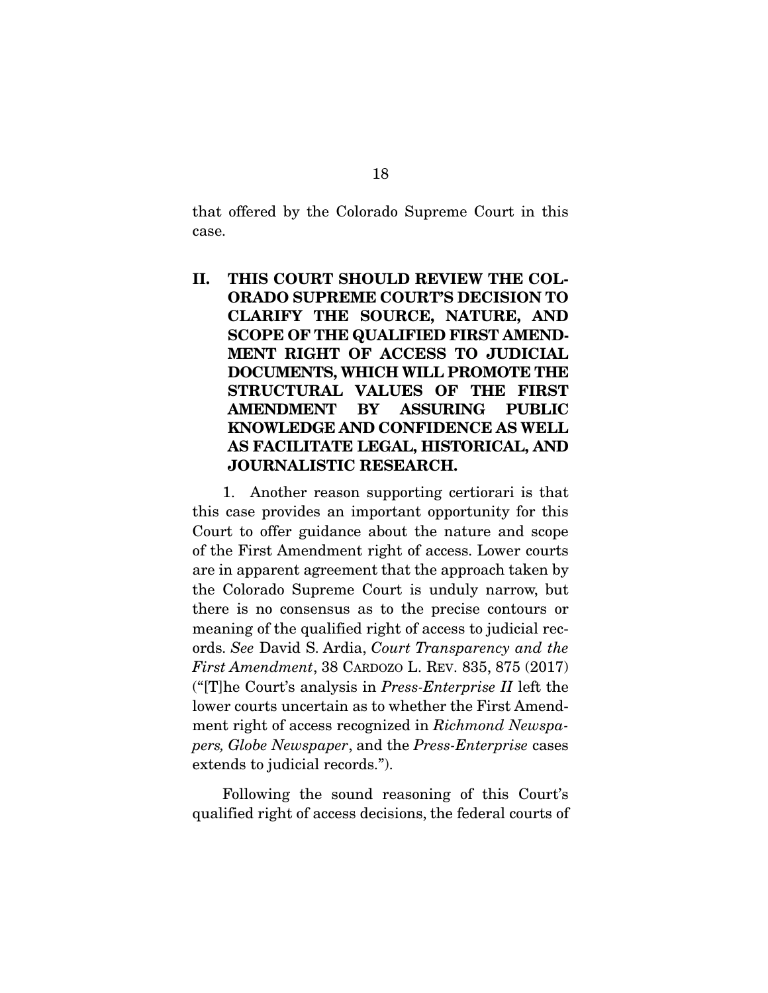that offered by the Colorado Supreme Court in this case.

II. THIS COURT SHOULD REVIEW THE COL-ORADO SUPREME COURT'S DECISION TO CLARIFY THE SOURCE, NATURE, AND SCOPE OF THE QUALIFIED FIRST AMEND-MENT RIGHT OF ACCESS TO JUDICIAL DOCUMENTS, WHICH WILL PROMOTE THE STRUCTURAL VALUES OF THE FIRST AMENDMENT BY ASSURING PUBLIC KNOWLEDGE AND CONFIDENCE AS WELL AS FACILITATE LEGAL, HISTORICAL, AND JOURNALISTIC RESEARCH.

 1. Another reason supporting certiorari is that this case provides an important opportunity for this Court to offer guidance about the nature and scope of the First Amendment right of access. Lower courts are in apparent agreement that the approach taken by the Colorado Supreme Court is unduly narrow, but there is no consensus as to the precise contours or meaning of the qualified right of access to judicial records. *See* David S. Ardia, *Court Transparency and the First Amendment*, 38 CARDOZO L. REV. 835, 875 (2017) ("[T]he Court's analysis in *Press-Enterprise II* left the lower courts uncertain as to whether the First Amendment right of access recognized in *Richmond Newspapers, Globe Newspaper*, and the *Press-Enterprise* cases extends to judicial records.").

 Following the sound reasoning of this Court's qualified right of access decisions, the federal courts of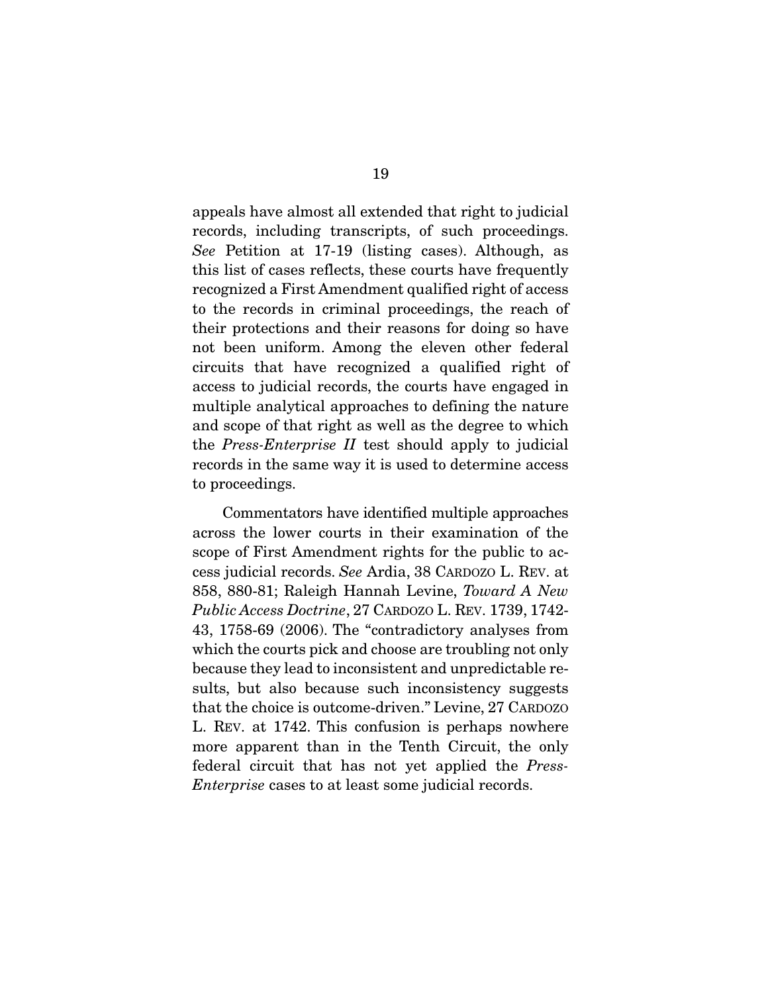appeals have almost all extended that right to judicial records, including transcripts, of such proceedings. *See* Petition at 17-19 (listing cases). Although, as this list of cases reflects, these courts have frequently recognized a First Amendment qualified right of access to the records in criminal proceedings, the reach of their protections and their reasons for doing so have not been uniform. Among the eleven other federal circuits that have recognized a qualified right of access to judicial records, the courts have engaged in multiple analytical approaches to defining the nature and scope of that right as well as the degree to which the *Press-Enterprise II* test should apply to judicial records in the same way it is used to determine access to proceedings.

 Commentators have identified multiple approaches across the lower courts in their examination of the scope of First Amendment rights for the public to access judicial records. *See* Ardia, 38 CARDOZO L. REV. at 858, 880-81; Raleigh Hannah Levine, *Toward A New Public Access Doctrine*, 27 CARDOZO L. REV. 1739, 1742- 43, 1758-69 (2006). The "contradictory analyses from which the courts pick and choose are troubling not only because they lead to inconsistent and unpredictable results, but also because such inconsistency suggests that the choice is outcome-driven." Levine, 27 CARDOZO L. REV. at 1742. This confusion is perhaps nowhere more apparent than in the Tenth Circuit, the only federal circuit that has not yet applied the *Press-Enterprise* cases to at least some judicial records.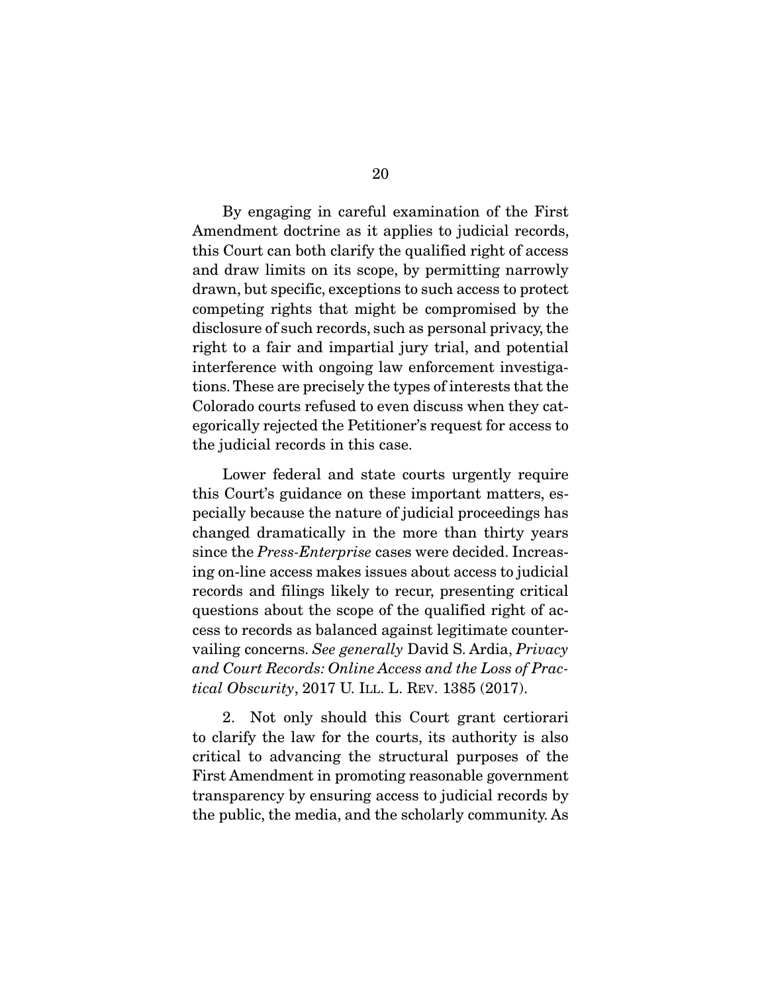By engaging in careful examination of the First Amendment doctrine as it applies to judicial records, this Court can both clarify the qualified right of access and draw limits on its scope, by permitting narrowly drawn, but specific, exceptions to such access to protect competing rights that might be compromised by the disclosure of such records, such as personal privacy, the right to a fair and impartial jury trial, and potential interference with ongoing law enforcement investigations. These are precisely the types of interests that the Colorado courts refused to even discuss when they categorically rejected the Petitioner's request for access to the judicial records in this case.

 Lower federal and state courts urgently require this Court's guidance on these important matters, especially because the nature of judicial proceedings has changed dramatically in the more than thirty years since the *Press-Enterprise* cases were decided. Increasing on-line access makes issues about access to judicial records and filings likely to recur, presenting critical questions about the scope of the qualified right of access to records as balanced against legitimate countervailing concerns. *See generally* David S. Ardia, *Privacy and Court Records: Online Access and the Loss of Practical Obscurity*, 2017 U. ILL. L. REV. 1385 (2017).

 2. Not only should this Court grant certiorari to clarify the law for the courts, its authority is also critical to advancing the structural purposes of the First Amendment in promoting reasonable government transparency by ensuring access to judicial records by the public, the media, and the scholarly community. As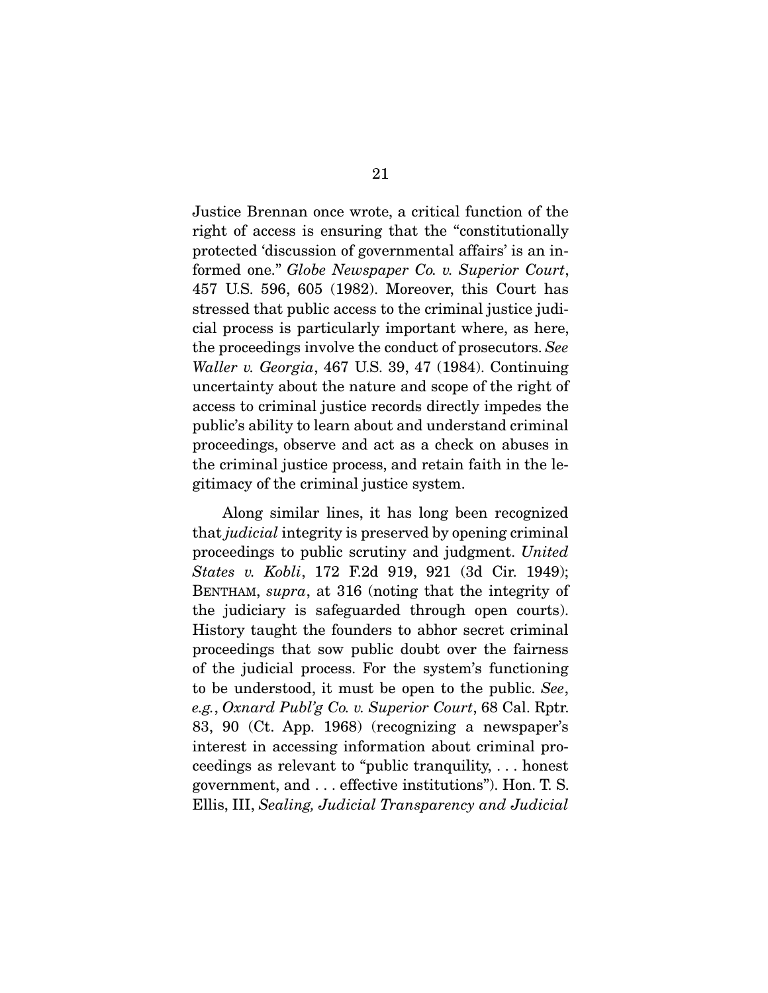Justice Brennan once wrote, a critical function of the right of access is ensuring that the "constitutionally protected 'discussion of governmental affairs' is an informed one." *Globe Newspaper Co. v. Superior Court*, 457 U.S. 596, 605 (1982). Moreover, this Court has stressed that public access to the criminal justice judicial process is particularly important where, as here, the proceedings involve the conduct of prosecutors. *See Waller v. Georgia*, 467 U.S. 39, 47 (1984). Continuing uncertainty about the nature and scope of the right of access to criminal justice records directly impedes the public's ability to learn about and understand criminal proceedings, observe and act as a check on abuses in the criminal justice process, and retain faith in the legitimacy of the criminal justice system.

 Along similar lines, it has long been recognized that *judicial* integrity is preserved by opening criminal proceedings to public scrutiny and judgment. *United States v. Kobli*, 172 F.2d 919, 921 (3d Cir. 1949); BENTHAM, *supra*, at 316 (noting that the integrity of the judiciary is safeguarded through open courts). History taught the founders to abhor secret criminal proceedings that sow public doubt over the fairness of the judicial process. For the system's functioning to be understood, it must be open to the public. *See*, *e.g.*, *Oxnard Publ'g Co. v. Superior Court*, 68 Cal. Rptr. 83, 90 (Ct. App. 1968) (recognizing a newspaper's interest in accessing information about criminal proceedings as relevant to "public tranquility, . . . honest government, and . . . effective institutions"). Hon. T. S. Ellis, III, *Sealing, Judicial Transparency and Judicial*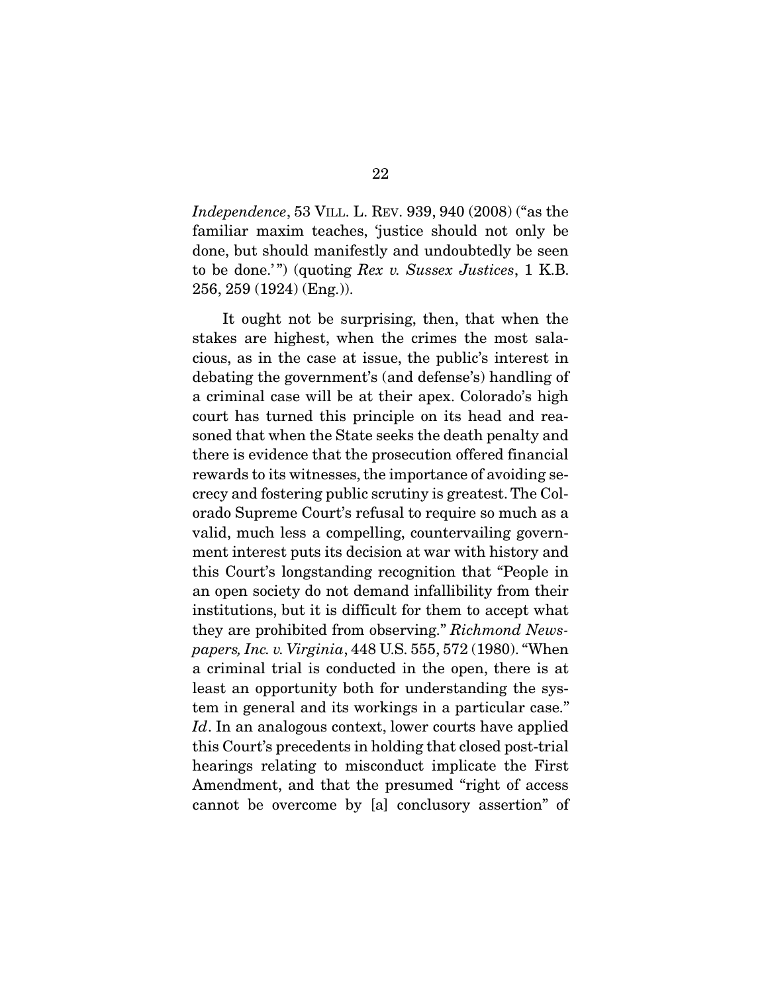*Independence*, 53 VILL. L. REV. 939, 940 (2008) ("as the familiar maxim teaches, 'justice should not only be done, but should manifestly and undoubtedly be seen to be done.' ") (quoting *Rex v. Sussex Justices*, 1 K.B. 256, 259 (1924) (Eng.)).

 It ought not be surprising, then, that when the stakes are highest, when the crimes the most salacious, as in the case at issue, the public's interest in debating the government's (and defense's) handling of a criminal case will be at their apex. Colorado's high court has turned this principle on its head and reasoned that when the State seeks the death penalty and there is evidence that the prosecution offered financial rewards to its witnesses, the importance of avoiding secrecy and fostering public scrutiny is greatest. The Colorado Supreme Court's refusal to require so much as a valid, much less a compelling, countervailing government interest puts its decision at war with history and this Court's longstanding recognition that "People in an open society do not demand infallibility from their institutions, but it is difficult for them to accept what they are prohibited from observing." *Richmond Newspapers, Inc. v. Virginia*, 448 U.S. 555, 572 (1980). "When a criminal trial is conducted in the open, there is at least an opportunity both for understanding the system in general and its workings in a particular case." *Id*. In an analogous context, lower courts have applied this Court's precedents in holding that closed post-trial hearings relating to misconduct implicate the First Amendment, and that the presumed "right of access cannot be overcome by [a] conclusory assertion" of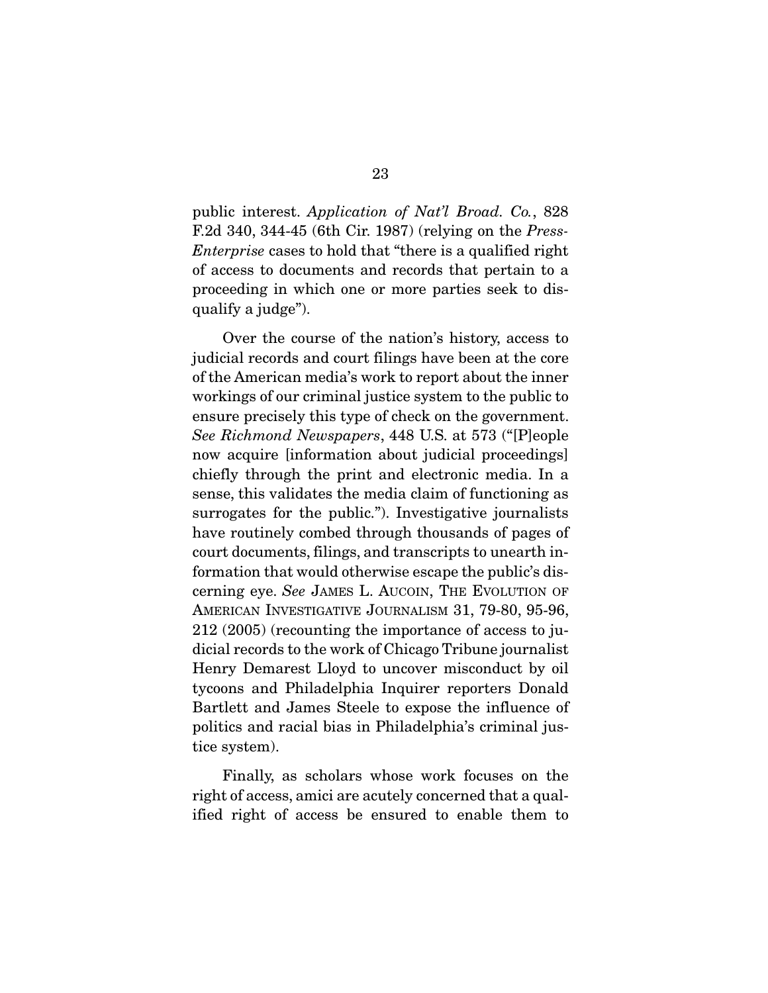public interest. *Application of Nat'l Broad. Co.*, 828 F.2d 340, 344-45 (6th Cir. 1987) (relying on the *Press-Enterprise* cases to hold that "there is a qualified right of access to documents and records that pertain to a proceeding in which one or more parties seek to disqualify a judge").

 Over the course of the nation's history, access to judicial records and court filings have been at the core of the American media's work to report about the inner workings of our criminal justice system to the public to ensure precisely this type of check on the government. *See Richmond Newspapers*, 448 U.S. at 573 ("[P]eople now acquire [information about judicial proceedings] chiefly through the print and electronic media. In a sense, this validates the media claim of functioning as surrogates for the public."). Investigative journalists have routinely combed through thousands of pages of court documents, filings, and transcripts to unearth information that would otherwise escape the public's discerning eye. *See* JAMES L. AUCOIN, THE EVOLUTION OF AMERICAN INVESTIGATIVE JOURNALISM 31, 79-80, 95-96, 212 (2005) (recounting the importance of access to judicial records to the work of Chicago Tribune journalist Henry Demarest Lloyd to uncover misconduct by oil tycoons and Philadelphia Inquirer reporters Donald Bartlett and James Steele to expose the influence of politics and racial bias in Philadelphia's criminal justice system).

 Finally, as scholars whose work focuses on the right of access, amici are acutely concerned that a qualified right of access be ensured to enable them to